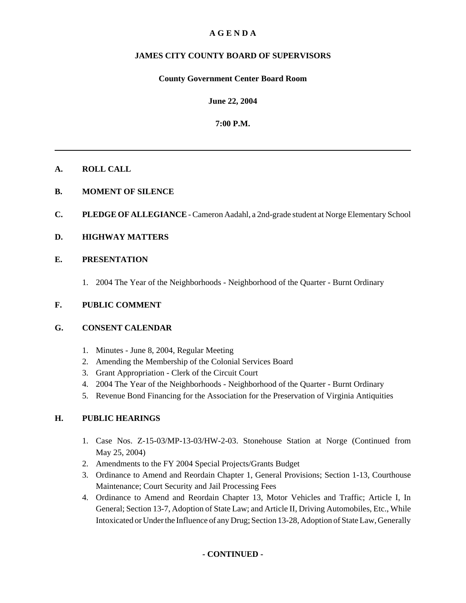## **A G E N D A**

## **JAMES CITY COUNTY BOARD OF SUPERVISORS**

#### **County Government Center Board Room**

**June 22, 2004**

**7:00 P.M.**

#### **A. ROLL CALL**

- **B. MOMENT OF SILENCE**
- **C. PLEDGE OF ALLEGIANCE** Cameron Aadahl, a 2nd-grade student at Norge Elementary School

#### **D. HIGHWAY MATTERS**

#### **E. PRESENTATION**

1. 2004 The Year of the Neighborhoods - Neighborhood of the Quarter - Burnt Ordinary

#### **F. PUBLIC COMMENT**

#### **G. CONSENT CALENDAR**

- 1. Minutes June 8, 2004, Regular Meeting
- 2. Amending the Membership of the Colonial Services Board
- 3. Grant Appropriation Clerk of the Circuit Court
- 4. 2004 The Year of the Neighborhoods Neighborhood of the Quarter Burnt Ordinary
- 5. Revenue Bond Financing for the Association for the Preservation of Virginia Antiquities

## **H. PUBLIC HEARINGS**

- 1. Case Nos. Z-15-03/MP-13-03/HW-2-03. Stonehouse Station at Norge (Continued from May 25, 2004)
- 2. Amendments to the FY 2004 Special Projects/Grants Budget
- 3. Ordinance to Amend and Reordain Chapter 1, General Provisions; Section 1-13, Courthouse Maintenance; Court Security and Jail Processing Fees
- 4. Ordinance to Amend and Reordain Chapter 13, Motor Vehicles and Traffic; Article I, In General; Section 13-7, Adoption of State Law; and Article II, Driving Automobiles, Etc., While Intoxicated or Under the Influence of any Drug; Section 13-28, Adoption of State Law, Generally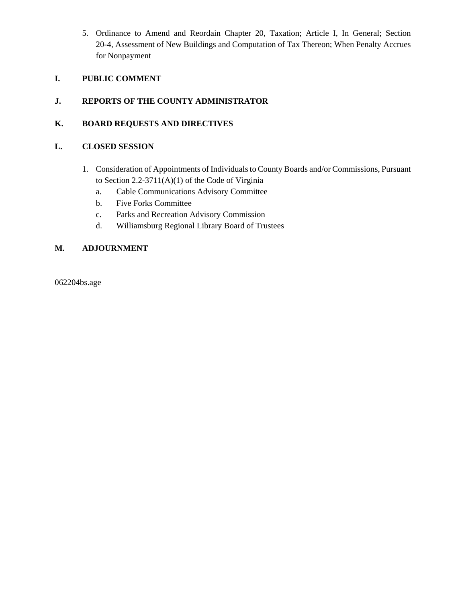5. Ordinance to Amend and Reordain Chapter 20, Taxation; Article I, In General; Section 20-4, Assessment of New Buildings and Computation of Tax Thereon; When Penalty Accrues for Nonpayment

## **I. PUBLIC COMMENT**

## **J. REPORTS OF THE COUNTY ADMINISTRATOR**

## **K. BOARD REQUESTS AND DIRECTIVES**

## **L. CLOSED SESSION**

- 1. Consideration of Appointments of Individuals to County Boards and/or Commissions, Pursuant to Section 2.2-3711(A)(1) of the Code of Virginia
	- a. Cable Communications Advisory Committee
	- b. Five Forks Committee
	- c. Parks and Recreation Advisory Commission
	- d. Williamsburg Regional Library Board of Trustees

## **M. ADJOURNMENT**

062204bs.age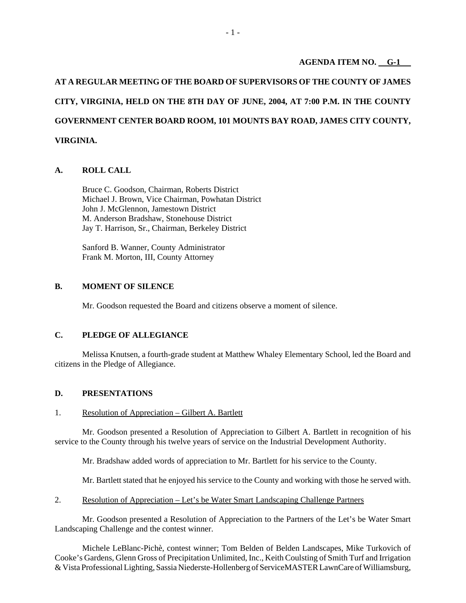#### **AGENDA ITEM NO. G-1**

**AT A REGULAR MEETING OF THE BOARD OF SUPERVISORS OF THE COUNTY OF JAMES CITY, VIRGINIA, HELD ON THE 8TH DAY OF JUNE, 2004, AT 7:00 P.M. IN THE COUNTY GOVERNMENT CENTER BOARD ROOM, 101 MOUNTS BAY ROAD, JAMES CITY COUNTY, VIRGINIA.**

#### **A. ROLL CALL**

Bruce C. Goodson, Chairman, Roberts District Michael J. Brown, Vice Chairman, Powhatan District John J. McGlennon, Jamestown District M. Anderson Bradshaw, Stonehouse District Jay T. Harrison, Sr., Chairman, Berkeley District

Sanford B. Wanner, County Administrator Frank M. Morton, III, County Attorney

#### **B. MOMENT OF SILENCE**

Mr. Goodson requested the Board and citizens observe a moment of silence.

## **C. PLEDGE OF ALLEGIANCE**

Melissa Knutsen, a fourth-grade student at Matthew Whaley Elementary School, led the Board and citizens in the Pledge of Allegiance.

#### **D. PRESENTATIONS**

#### 1. Resolution of Appreciation – Gilbert A. Bartlett

Mr. Goodson presented a Resolution of Appreciation to Gilbert A. Bartlett in recognition of his service to the County through his twelve years of service on the Industrial Development Authority.

Mr. Bradshaw added words of appreciation to Mr. Bartlett for his service to the County.

Mr. Bartlett stated that he enjoyed his service to the County and working with those he served with.

2. Resolution of Appreciation – Let's be Water Smart Landscaping Challenge Partners

Mr. Goodson presented a Resolution of Appreciation to the Partners of the Let's be Water Smart Landscaping Challenge and the contest winner.

Michele LeBlanc-Pichè, contest winner; Tom Belden of Belden Landscapes, Mike Turkovich of Cooke's Gardens, Glenn Gross of Precipitation Unlimited, Inc., Keith Coulsting of Smith Turf and Irrigation & Vista Professional Lighting, Sassia Niederste-Hollenberg of ServiceMASTER LawnCare of Williamsburg,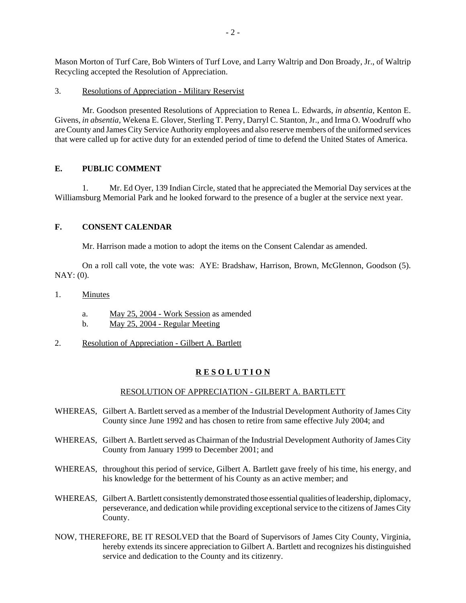Mason Morton of Turf Care, Bob Winters of Turf Love, and Larry Waltrip and Don Broady, Jr., of Waltrip Recycling accepted the Resolution of Appreciation.

#### 3. Resolutions of Appreciation - Military Reservist

Mr. Goodson presented Resolutions of Appreciation to Renea L. Edwards, *in absentia,* Kenton E. Givens, *in absentia,* Wekena E. Glover, Sterling T. Perry, Darryl C. Stanton, Jr., and Irma O. Woodruff who are County and James City Service Authority employees and also reserve members of the uniformed services that were called up for active duty for an extended period of time to defend the United States of America.

## **E. PUBLIC COMMENT**

1. Mr. Ed Oyer, 139 Indian Circle, stated that he appreciated the Memorial Day services at the Williamsburg Memorial Park and he looked forward to the presence of a bugler at the service next year.

#### **F. CONSENT CALENDAR**

Mr. Harrison made a motion to adopt the items on the Consent Calendar as amended.

On a roll call vote, the vote was: AYE: Bradshaw, Harrison, Brown, McGlennon, Goodson (5). NAY: (0).

- 1. Minutes
	- a. May 25, 2004 Work Session as amended
	- b. May 25, 2004 Regular Meeting
- 2. Resolution of Appreciation Gilbert A. Bartlett

#### **R E S O L U T I O N**

#### RESOLUTION OF APPRECIATION - GILBERT A. BARTLETT

- WHEREAS, Gilbert A. Bartlett served as a member of the Industrial Development Authority of James City County since June 1992 and has chosen to retire from same effective July 2004; and
- WHEREAS, Gilbert A. Bartlett served as Chairman of the Industrial Development Authority of James City County from January 1999 to December 2001; and
- WHEREAS, throughout this period of service, Gilbert A. Bartlett gave freely of his time, his energy, and his knowledge for the betterment of his County as an active member; and
- WHEREAS, Gilbert A. Bartlett consistently demonstrated those essential qualities of leadership, diplomacy, perseverance, and dedication while providing exceptional service to the citizens of James City County.
- NOW, THEREFORE, BE IT RESOLVED that the Board of Supervisors of James City County, Virginia, hereby extends its sincere appreciation to Gilbert A. Bartlett and recognizes his distinguished service and dedication to the County and its citizenry.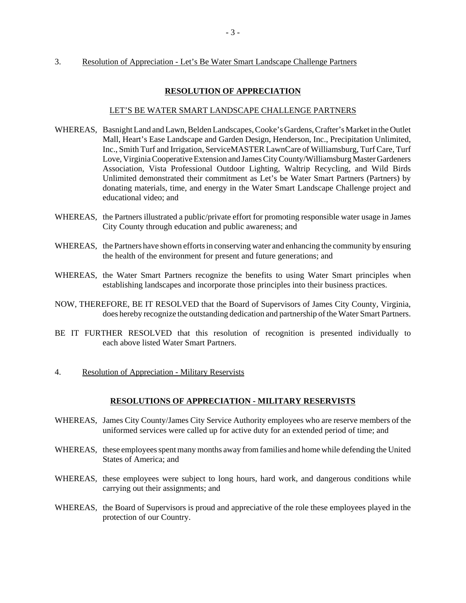#### 3. Resolution of Appreciation - Let's Be Water Smart Landscape Challenge Partners

#### **RESOLUTION OF APPRECIATION**

#### LET'S BE WATER SMART LANDSCAPE CHALLENGE PARTNERS

- WHEREAS, Basnight Land and Lawn, Belden Landscapes, Cooke's Gardens, Crafter's Market in the Outlet Mall, Heart's Ease Landscape and Garden Design, Henderson, Inc., Precipitation Unlimited, Inc., Smith Turf and Irrigation, ServiceMASTER LawnCare of Williamsburg, Turf Care, Turf Love, Virginia Cooperative Extension and James City County/Williamsburg Master Gardeners Association, Vista Professional Outdoor Lighting, Waltrip Recycling, and Wild Birds Unlimited demonstrated their commitment as Let's be Water Smart Partners (Partners) by donating materials, time, and energy in the Water Smart Landscape Challenge project and educational video; and
- WHEREAS, the Partners illustrated a public/private effort for promoting responsible water usage in James City County through education and public awareness; and
- WHEREAS, the Partners have shown efforts in conserving water and enhancing the community by ensuring the health of the environment for present and future generations; and
- WHEREAS, the Water Smart Partners recognize the benefits to using Water Smart principles when establishing landscapes and incorporate those principles into their business practices.
- NOW, THEREFORE, BE IT RESOLVED that the Board of Supervisors of James City County, Virginia, does hereby recognize the outstanding dedication and partnership of the Water Smart Partners.
- BE IT FURTHER RESOLVED that this resolution of recognition is presented individually to each above listed Water Smart Partners.
- 4. Resolution of Appreciation Military Reservists

#### **RESOLUTIONS OF APPRECIATION - MILITARY RESERVISTS**

- WHEREAS, James City County/James City Service Authority employees who are reserve members of the uniformed services were called up for active duty for an extended period of time; and
- WHEREAS, these employees spent many months away from families and home while defending the United States of America; and
- WHEREAS, these employees were subject to long hours, hard work, and dangerous conditions while carrying out their assignments; and
- WHEREAS, the Board of Supervisors is proud and appreciative of the role these employees played in the protection of our Country.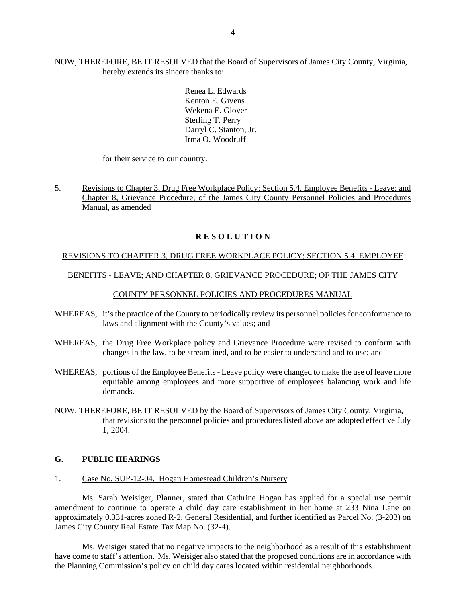NOW, THEREFORE, BE IT RESOLVED that the Board of Supervisors of James City County, Virginia, hereby extends its sincere thanks to:

> Renea L. Edwards Kenton E. Givens Wekena E. Glover Sterling T. Perry Darryl C. Stanton, Jr. Irma O. Woodruff

for their service to our country.

5. Revisions to Chapter 3, Drug Free Workplace Policy; Section 5.4, Employee Benefits - Leave; and Chapter 8, Grievance Procedure; of the James City County Personnel Policies and Procedures Manual, as amended

#### **R E S O L U T I O N**

#### REVISIONS TO CHAPTER 3, DRUG FREE WORKPLACE POLICY; SECTION 5.4, EMPLOYEE

#### BENEFITS - LEAVE; AND CHAPTER 8, GRIEVANCE PROCEDURE; OF THE JAMES CITY

#### COUNTY PERSONNEL POLICIES AND PROCEDURES MANUAL

- WHEREAS, it's the practice of the County to periodically review its personnel policies for conformance to laws and alignment with the County's values; and
- WHEREAS, the Drug Free Workplace policy and Grievance Procedure were revised to conform with changes in the law, to be streamlined, and to be easier to understand and to use; and
- WHEREAS, portions of the Employee Benefits Leave policy were changed to make the use of leave more equitable among employees and more supportive of employees balancing work and life demands.
- NOW, THEREFORE, BE IT RESOLVED by the Board of Supervisors of James City County, Virginia, that revisions to the personnel policies and procedures listed above are adopted effective July 1, 2004.

#### **G. PUBLIC HEARINGS**

1. Case No. SUP-12-04. Hogan Homestead Children's Nursery

Ms. Sarah Weisiger, Planner, stated that Cathrine Hogan has applied for a special use permit amendment to continue to operate a child day care establishment in her home at 233 Nina Lane on approximately 0.331-acres zoned R-2, General Residential, and further identified as Parcel No. (3-203) on James City County Real Estate Tax Map No. (32-4).

Ms. Weisiger stated that no negative impacts to the neighborhood as a result of this establishment have come to staff's attention. Ms. Weisiger also stated that the proposed conditions are in accordance with the Planning Commission's policy on child day cares located within residential neighborhoods.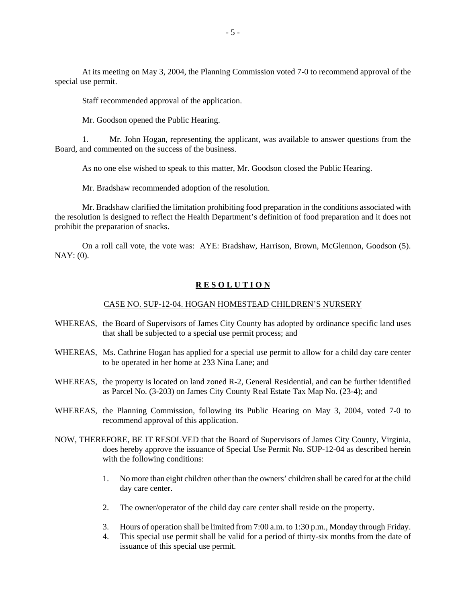At its meeting on May 3, 2004, the Planning Commission voted 7-0 to recommend approval of the special use permit.

Staff recommended approval of the application.

Mr. Goodson opened the Public Hearing.

1. Mr. John Hogan, representing the applicant, was available to answer questions from the Board, and commented on the success of the business.

As no one else wished to speak to this matter, Mr. Goodson closed the Public Hearing.

Mr. Bradshaw recommended adoption of the resolution.

Mr. Bradshaw clarified the limitation prohibiting food preparation in the conditions associated with the resolution is designed to reflect the Health Department's definition of food preparation and it does not prohibit the preparation of snacks.

On a roll call vote, the vote was: AYE: Bradshaw, Harrison, Brown, McGlennon, Goodson (5). NAY: (0).

#### **R E S O L U T I O N**

#### CASE NO. SUP-12-04. HOGAN HOMESTEAD CHILDREN'S NURSERY

- WHEREAS, the Board of Supervisors of James City County has adopted by ordinance specific land uses that shall be subjected to a special use permit process; and
- WHEREAS, Ms. Cathrine Hogan has applied for a special use permit to allow for a child day care center to be operated in her home at 233 Nina Lane; and
- WHEREAS, the property is located on land zoned R-2, General Residential, and can be further identified as Parcel No. (3-203) on James City County Real Estate Tax Map No. (23-4); and
- WHEREAS, the Planning Commission, following its Public Hearing on May 3, 2004, voted 7-0 to recommend approval of this application.
- NOW, THEREFORE, BE IT RESOLVED that the Board of Supervisors of James City County, Virginia, does hereby approve the issuance of Special Use Permit No. SUP-12-04 as described herein with the following conditions:
	- 1. No more than eight children other than the owners' children shall be cared for at the child day care center.
	- 2. The owner/operator of the child day care center shall reside on the property.
	- 3. Hours of operation shall be limited from 7:00 a.m. to 1:30 p.m., Monday through Friday.
	- 4. This special use permit shall be valid for a period of thirty-six months from the date of issuance of this special use permit.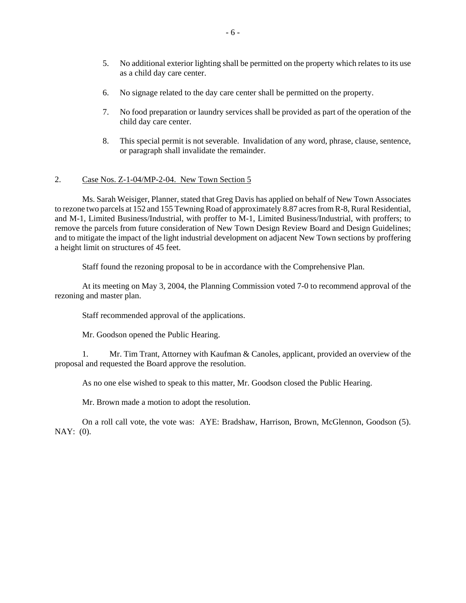- 5. No additional exterior lighting shall be permitted on the property which relates to its use as a child day care center.
- 6. No signage related to the day care center shall be permitted on the property.
- 7. No food preparation or laundry services shall be provided as part of the operation of the child day care center.
- 8. This special permit is not severable. Invalidation of any word, phrase, clause, sentence, or paragraph shall invalidate the remainder.

#### 2. Case Nos. Z-1-04/MP-2-04. New Town Section 5

Ms. Sarah Weisiger, Planner, stated that Greg Davis has applied on behalf of New Town Associates to rezone two parcels at 152 and 155 Tewning Road of approximately 8.87 acres from R-8, Rural Residential, and M-1, Limited Business/Industrial, with proffer to M-1, Limited Business/Industrial, with proffers; to remove the parcels from future consideration of New Town Design Review Board and Design Guidelines; and to mitigate the impact of the light industrial development on adjacent New Town sections by proffering a height limit on structures of 45 feet.

Staff found the rezoning proposal to be in accordance with the Comprehensive Plan.

At its meeting on May 3, 2004, the Planning Commission voted 7-0 to recommend approval of the rezoning and master plan.

Staff recommended approval of the applications.

Mr. Goodson opened the Public Hearing.

1. Mr. Tim Trant, Attorney with Kaufman & Canoles, applicant, provided an overview of the proposal and requested the Board approve the resolution.

As no one else wished to speak to this matter, Mr. Goodson closed the Public Hearing.

Mr. Brown made a motion to adopt the resolution.

On a roll call vote, the vote was: AYE: Bradshaw, Harrison, Brown, McGlennon, Goodson (5). NAY: (0).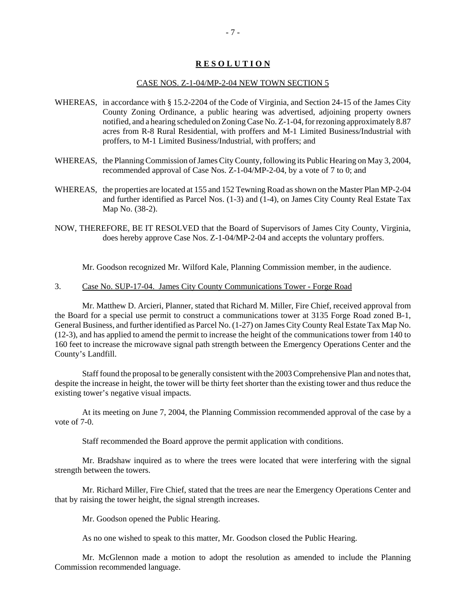## **R E S O L U T I O N**

#### CASE NOS. Z-1-04/MP-2-04 NEW TOWN SECTION 5

- WHEREAS, in accordance with § 15.2-2204 of the Code of Virginia, and Section 24-15 of the James City County Zoning Ordinance, a public hearing was advertised, adjoining property owners notified, and a hearing scheduled on Zoning Case No. Z-1-04, for rezoning approximately 8.87 acres from R-8 Rural Residential, with proffers and M-1 Limited Business/Industrial with proffers, to M-1 Limited Business/Industrial, with proffers; and
- WHEREAS, the Planning Commission of James City County, following its Public Hearing on May 3, 2004, recommended approval of Case Nos. Z-1-04/MP-2-04, by a vote of 7 to 0; and
- WHEREAS, the properties are located at 155 and 152 Tewning Road as shown on the Master Plan MP-2-04 and further identified as Parcel Nos. (1-3) and (1-4), on James City County Real Estate Tax Map No. (38-2).
- NOW, THEREFORE, BE IT RESOLVED that the Board of Supervisors of James City County, Virginia, does hereby approve Case Nos. Z-1-04/MP-2-04 and accepts the voluntary proffers.

Mr. Goodson recognized Mr. Wilford Kale, Planning Commission member, in the audience.

#### 3. Case No. SUP-17-04. James City County Communications Tower - Forge Road

Mr. Matthew D. Arcieri, Planner, stated that Richard M. Miller, Fire Chief, received approval from the Board for a special use permit to construct a communications tower at 3135 Forge Road zoned B-1, General Business, and further identified as Parcel No. (1-27) on James City County Real Estate Tax Map No. (12-3), and has applied to amend the permit to increase the height of the communications tower from 140 to 160 feet to increase the microwave signal path strength between the Emergency Operations Center and the County's Landfill.

Staff found the proposal to be generally consistent with the 2003 Comprehensive Plan and notes that, despite the increase in height, the tower will be thirty feet shorter than the existing tower and thus reduce the existing tower's negative visual impacts.

At its meeting on June 7, 2004, the Planning Commission recommended approval of the case by a vote of 7-0.

Staff recommended the Board approve the permit application with conditions.

Mr. Bradshaw inquired as to where the trees were located that were interfering with the signal strength between the towers.

Mr. Richard Miller, Fire Chief, stated that the trees are near the Emergency Operations Center and that by raising the tower height, the signal strength increases.

Mr. Goodson opened the Public Hearing.

As no one wished to speak to this matter, Mr. Goodson closed the Public Hearing.

Mr. McGlennon made a motion to adopt the resolution as amended to include the Planning Commission recommended language.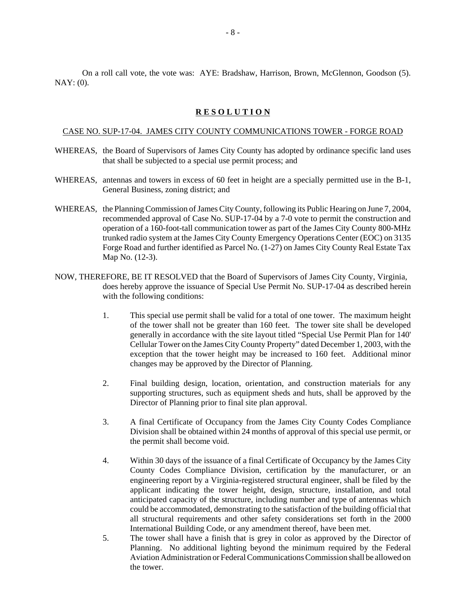On a roll call vote, the vote was: AYE: Bradshaw, Harrison, Brown, McGlennon, Goodson (5). NAY: (0).

#### **R E S O L U T I O N**

#### CASE NO. SUP-17-04. JAMES CITY COUNTY COMMUNICATIONS TOWER - FORGE ROAD

- WHEREAS, the Board of Supervisors of James City County has adopted by ordinance specific land uses that shall be subjected to a special use permit process; and
- WHEREAS, antennas and towers in excess of 60 feet in height are a specially permitted use in the B-1, General Business, zoning district; and
- WHEREAS, the Planning Commission of James City County, following its Public Hearing on June 7, 2004, recommended approval of Case No. SUP-17-04 by a 7-0 vote to permit the construction and operation of a 160-foot-tall communication tower as part of the James City County 800-MHz trunked radio system at the James City County Emergency Operations Center (EOC) on 3135 Forge Road and further identified as Parcel No. (1-27) on James City County Real Estate Tax Map No. (12-3).
- NOW, THEREFORE, BE IT RESOLVED that the Board of Supervisors of James City County, Virginia, does hereby approve the issuance of Special Use Permit No. SUP-17-04 as described herein with the following conditions:
	- 1. This special use permit shall be valid for a total of one tower. The maximum height of the tower shall not be greater than 160 feet. The tower site shall be developed generally in accordance with the site layout titled "Special Use Permit Plan for 140' Cellular Tower on the James City County Property" dated December 1, 2003, with the exception that the tower height may be increased to 160 feet. Additional minor changes may be approved by the Director of Planning.
	- 2. Final building design, location, orientation, and construction materials for any supporting structures, such as equipment sheds and huts, shall be approved by the Director of Planning prior to final site plan approval.
	- 3. A final Certificate of Occupancy from the James City County Codes Compliance Division shall be obtained within 24 months of approval of this special use permit, or the permit shall become void.
	- 4. Within 30 days of the issuance of a final Certificate of Occupancy by the James City County Codes Compliance Division, certification by the manufacturer, or an engineering report by a Virginia-registered structural engineer, shall be filed by the applicant indicating the tower height, design, structure, installation, and total anticipated capacity of the structure, including number and type of antennas which could be accommodated, demonstrating to the satisfaction of the building official that all structural requirements and other safety considerations set forth in the 2000 International Building Code, or any amendment thereof, have been met.
	- 5. The tower shall have a finish that is grey in color as approved by the Director of Planning. No additional lighting beyond the minimum required by the Federal Aviation Administration or Federal Communications Commission shall be allowed on the tower.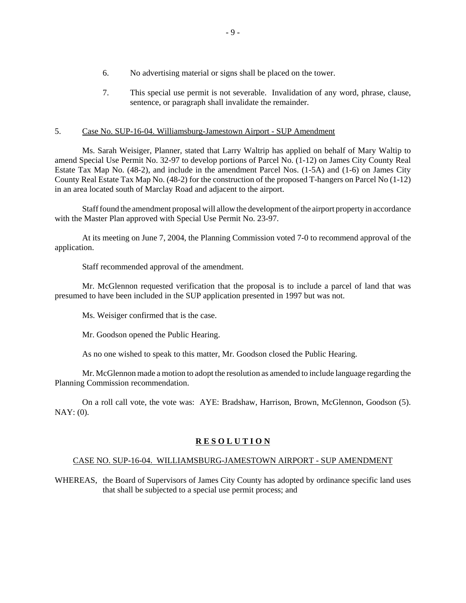- 6. No advertising material or signs shall be placed on the tower.
- 7. This special use permit is not severable. Invalidation of any word, phrase, clause, sentence, or paragraph shall invalidate the remainder.

#### 5. Case No. SUP-16-04. Williamsburg-Jamestown Airport - SUP Amendment

Ms. Sarah Weisiger, Planner, stated that Larry Waltrip has applied on behalf of Mary Waltip to amend Special Use Permit No. 32-97 to develop portions of Parcel No. (1-12) on James City County Real Estate Tax Map No. (48-2), and include in the amendment Parcel Nos. (1-5A) and (1-6) on James City County Real Estate Tax Map No. (48-2) for the construction of the proposed T-hangers on Parcel No (1-12) in an area located south of Marclay Road and adjacent to the airport.

Staff found the amendment proposal will allow the development of the airport property in accordance with the Master Plan approved with Special Use Permit No. 23-97.

At its meeting on June 7, 2004, the Planning Commission voted 7-0 to recommend approval of the application.

Staff recommended approval of the amendment.

Mr. McGlennon requested verification that the proposal is to include a parcel of land that was presumed to have been included in the SUP application presented in 1997 but was not.

Ms. Weisiger confirmed that is the case.

Mr. Goodson opened the Public Hearing.

As no one wished to speak to this matter, Mr. Goodson closed the Public Hearing.

Mr. McGlennon made a motion to adopt the resolution as amended to include language regarding the Planning Commission recommendation.

On a roll call vote, the vote was: AYE: Bradshaw, Harrison, Brown, McGlennon, Goodson (5).  $NAY: (0)$ .

#### **R E S O L U T I O N**

#### CASE NO. SUP-16-04. WILLIAMSBURG-JAMESTOWN AIRPORT - SUP AMENDMENT

WHEREAS, the Board of Supervisors of James City County has adopted by ordinance specific land uses that shall be subjected to a special use permit process; and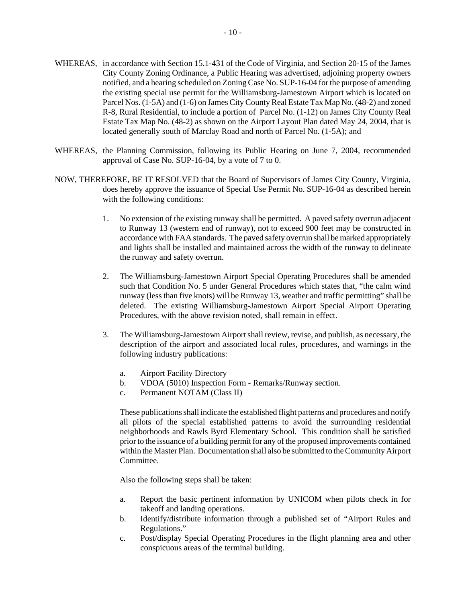- WHEREAS, in accordance with Section 15.1-431 of the Code of Virginia, and Section 20-15 of the James City County Zoning Ordinance, a Public Hearing was advertised, adjoining property owners notified, and a hearing scheduled on Zoning Case No. SUP-16-04 for the purpose of amending the existing special use permit for the Williamsburg-Jamestown Airport which is located on Parcel Nos. (1-5A) and (1-6) on James City County Real Estate Tax Map No. (48-2) and zoned R-8, Rural Residential, to include a portion of Parcel No. (1-12) on James City County Real Estate Tax Map No. (48-2) as shown on the Airport Layout Plan dated May 24, 2004, that is located generally south of Marclay Road and north of Parcel No. (1-5A); and
- WHEREAS, the Planning Commission, following its Public Hearing on June 7, 2004, recommended approval of Case No. SUP-16-04, by a vote of 7 to 0.
- NOW, THEREFORE, BE IT RESOLVED that the Board of Supervisors of James City County, Virginia, does hereby approve the issuance of Special Use Permit No. SUP-16-04 as described herein with the following conditions:
	- 1. No extension of the existing runway shall be permitted. A paved safety overrun adjacent to Runway 13 (western end of runway), not to exceed 900 feet may be constructed in accordance with FAA standards. The paved safety overrun shall be marked appropriately and lights shall be installed and maintained across the width of the runway to delineate the runway and safety overrun.
	- 2. The Williamsburg-Jamestown Airport Special Operating Procedures shall be amended such that Condition No. 5 under General Procedures which states that, "the calm wind runway (less than five knots) will be Runway 13, weather and traffic permitting" shall be deleted. The existing Williamsburg-Jamestown Airport Special Airport Operating Procedures, with the above revision noted, shall remain in effect.
	- 3. The Williamsburg-Jamestown Airport shall review, revise, and publish, as necessary, the description of the airport and associated local rules, procedures, and warnings in the following industry publications:
		- a. Airport Facility Directory
		- b. VDOA (5010) Inspection Form Remarks/Runway section.
		- c. Permanent NOTAM (Class II)

These publications shall indicate the established flight patterns and procedures and notify all pilots of the special established patterns to avoid the surrounding residential neighborhoods and Rawls Byrd Elementary School. This condition shall be satisfied prior to the issuance of a building permit for any of the proposed improvements contained within the Master Plan. Documentation shall also be submitted to the Community Airport Committee.

Also the following steps shall be taken:

- a. Report the basic pertinent information by UNICOM when pilots check in for takeoff and landing operations.
- b. Identify/distribute information through a published set of "Airport Rules and Regulations."
- c. Post/display Special Operating Procedures in the flight planning area and other conspicuous areas of the terminal building.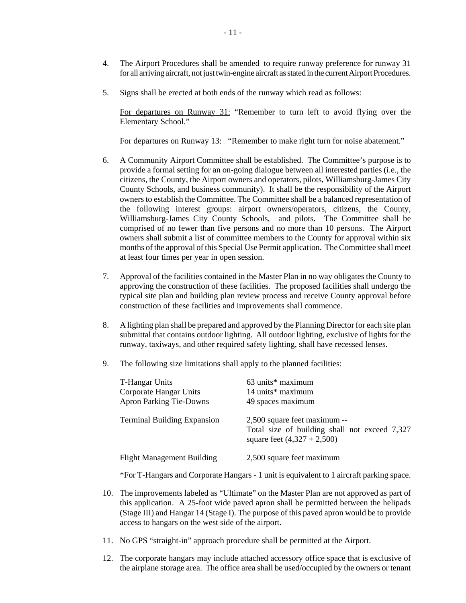- 4. The Airport Procedures shall be amended to require runway preference for runway 31 for all arriving aircraft, not just twin-engine aircraft as stated in the current Airport Procedures.
- 5. Signs shall be erected at both ends of the runway which read as follows:

For departures on Runway 31: "Remember to turn left to avoid flying over the Elementary School."

For departures on Runway 13: "Remember to make right turn for noise abatement."

- 6. A Community Airport Committee shall be established. The Committee's purpose is to provide a formal setting for an on-going dialogue between all interested parties (i.e., the citizens, the County, the Airport owners and operators, pilots, Williamsburg-James City County Schools, and business community). It shall be the responsibility of the Airport owners to establish the Committee. The Committee shall be a balanced representation of the following interest groups: airport owners/operators, citizens, the County, Williamsburg-James City County Schools, and pilots. The Committee shall be comprised of no fewer than five persons and no more than 10 persons. The Airport owners shall submit a list of committee members to the County for approval within six months of the approval of this Special Use Permit application. The Committee shall meet at least four times per year in open session.
- 7. Approval of the facilities contained in the Master Plan in no way obligates the County to approving the construction of these facilities. The proposed facilities shall undergo the typical site plan and building plan review process and receive County approval before construction of these facilities and improvements shall commence.
- 8. A lighting plan shall be prepared and approved by the Planning Director for each site plan submittal that contains outdoor lighting. All outdoor lighting, exclusive of lights for the runway, taxiways, and other required safety lighting, shall have recessed lenses.
- 9. The following size limitations shall apply to the planned facilities:

| <b>T-Hangar Units</b><br>Corporate Hangar Units<br><b>Apron Parking Tie-Downs</b> | 63 units* maximum<br>14 units* maximum<br>49 spaces maximum                                                    |
|-----------------------------------------------------------------------------------|----------------------------------------------------------------------------------------------------------------|
| <b>Terminal Building Expansion</b>                                                | 2,500 square feet maximum --<br>Total size of building shall not exceed 7,327<br>square feet $(4,327 + 2,500)$ |
| <b>Flight Management Building</b>                                                 | 2,500 square feet maximum                                                                                      |

\*For T-Hangars and Corporate Hangars - 1 unit is equivalent to 1 aircraft parking space.

- 10. The improvements labeled as "Ultimate" on the Master Plan are not approved as part of this application. A 25-foot wide paved apron shall be permitted between the helipads (Stage III) and Hangar 14 (Stage I). The purpose of this paved apron would be to provide access to hangars on the west side of the airport.
- 11. No GPS "straight-in" approach procedure shall be permitted at the Airport.
- 12. The corporate hangars may include attached accessory office space that is exclusive of the airplane storage area. The office area shall be used/occupied by the owners or tenant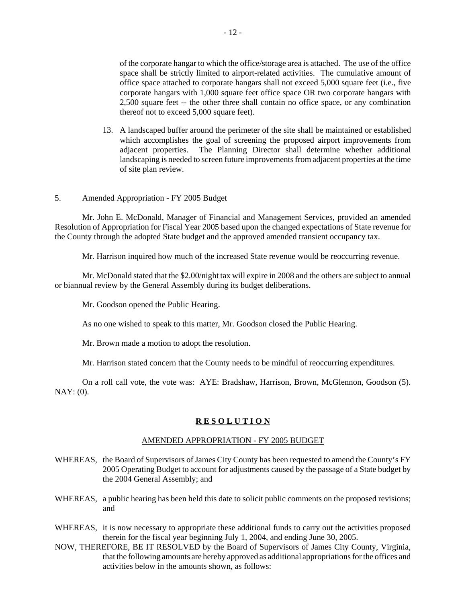of the corporate hangar to which the office/storage area is attached. The use of the office space shall be strictly limited to airport-related activities. The cumulative amount of office space attached to corporate hangars shall not exceed 5,000 square feet (i.e., five corporate hangars with 1,000 square feet office space OR two corporate hangars with 2,500 square feet -- the other three shall contain no office space, or any combination thereof not to exceed 5,000 square feet).

13. A landscaped buffer around the perimeter of the site shall be maintained or established which accomplishes the goal of screening the proposed airport improvements from adjacent properties. The Planning Director shall determine whether additional landscaping is needed to screen future improvements from adjacent properties at the time of site plan review.

#### 5. Amended Appropriation - FY 2005 Budget

Mr. John E. McDonald, Manager of Financial and Management Services, provided an amended Resolution of Appropriation for Fiscal Year 2005 based upon the changed expectations of State revenue for the County through the adopted State budget and the approved amended transient occupancy tax.

Mr. Harrison inquired how much of the increased State revenue would be reoccurring revenue.

Mr. McDonald stated that the \$2.00/night tax will expire in 2008 and the others are subject to annual or biannual review by the General Assembly during its budget deliberations.

Mr. Goodson opened the Public Hearing.

As no one wished to speak to this matter, Mr. Goodson closed the Public Hearing.

Mr. Brown made a motion to adopt the resolution.

Mr. Harrison stated concern that the County needs to be mindful of reoccurring expenditures.

On a roll call vote, the vote was: AYE: Bradshaw, Harrison, Brown, McGlennon, Goodson (5). NAY: (0).

## **R E S O L U T I O N**

#### AMENDED APPROPRIATION - FY 2005 BUDGET

- WHEREAS, the Board of Supervisors of James City County has been requested to amend the County's FY 2005 Operating Budget to account for adjustments caused by the passage of a State budget by the 2004 General Assembly; and
- WHEREAS, a public hearing has been held this date to solicit public comments on the proposed revisions; and
- WHEREAS, it is now necessary to appropriate these additional funds to carry out the activities proposed therein for the fiscal year beginning July 1, 2004, and ending June 30, 2005.
- NOW, THEREFORE, BE IT RESOLVED by the Board of Supervisors of James City County, Virginia, that the following amounts are hereby approved as additional appropriations for the offices and activities below in the amounts shown, as follows: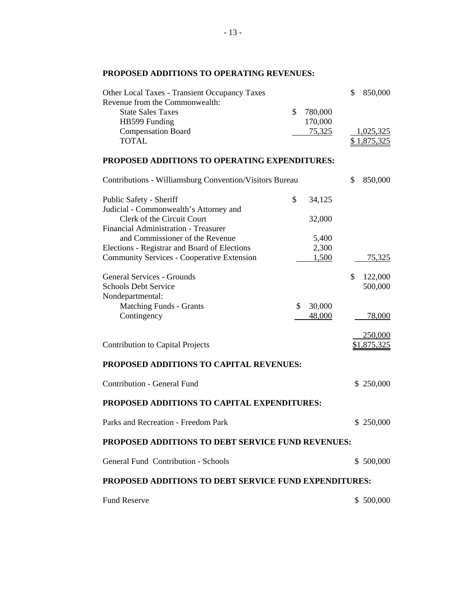## **PROPOSED ADDITIONS TO OPERATING REVENUES:**

| <b>Other Local Taxes - Transient Occupancy Taxes</b>         |    |                    | \$<br>850,000      |
|--------------------------------------------------------------|----|--------------------|--------------------|
| Revenue from the Commonwealth:<br><b>State Sales Taxes</b>   | \$ |                    |                    |
| HB599 Funding                                                |    | 780,000<br>170,000 |                    |
| <b>Compensation Board</b>                                    |    | <u>75,325</u>      | 1,025,325          |
| <b>TOTAL</b>                                                 |    |                    | <u>\$1,875,325</u> |
|                                                              |    |                    |                    |
| PROPOSED ADDITIONS TO OPERATING EXPENDITURES:                |    |                    |                    |
| Contributions - Williamsburg Convention/Visitors Bureau      |    |                    | \$<br>850,000      |
| Public Safety - Sheriff                                      | \$ | 34,125             |                    |
| Judicial - Commonwealth's Attorney and                       |    |                    |                    |
| Clerk of the Circuit Court                                   |    | 32,000             |                    |
| Financial Administration - Treasurer                         |    |                    |                    |
| and Commissioner of the Revenue                              |    | 5,400              |                    |
| Elections - Registrar and Board of Elections                 |    | 2,300              |                    |
| <b>Community Services - Cooperative Extension</b>            |    | 1,500              | 75,325             |
| <b>General Services - Grounds</b>                            |    |                    | \$<br>122,000      |
| <b>Schools Debt Service</b>                                  |    |                    | 500,000            |
| Nondepartmental:                                             |    |                    |                    |
| <b>Matching Funds - Grants</b>                               | \$ | 30,000             |                    |
| Contingency                                                  |    | 48,000             | 78,000             |
|                                                              |    |                    |                    |
|                                                              |    |                    | <u>250,000</u>     |
| <b>Contribution to Capital Projects</b>                      |    |                    | \$1,875,325        |
| PROPOSED ADDITIONS TO CAPITAL REVENUES:                      |    |                    |                    |
| Contribution - General Fund                                  |    |                    | \$250,000          |
| PROPOSED ADDITIONS TO CAPITAL EXPENDITURES:                  |    |                    |                    |
| Parks and Recreation - Freedom Park                          |    |                    | \$250,000          |
| <b>PROPOSED ADDITIONS TO DEBT SERVICE FUND REVENUES:</b>     |    |                    |                    |
| General Fund Contribution - Schools                          |    |                    | \$500,000          |
| <b>PROPOSED ADDITIONS TO DEBT SERVICE FUND EXPENDITURES:</b> |    |                    |                    |
| <b>Fund Reserve</b>                                          |    |                    | \$500,000          |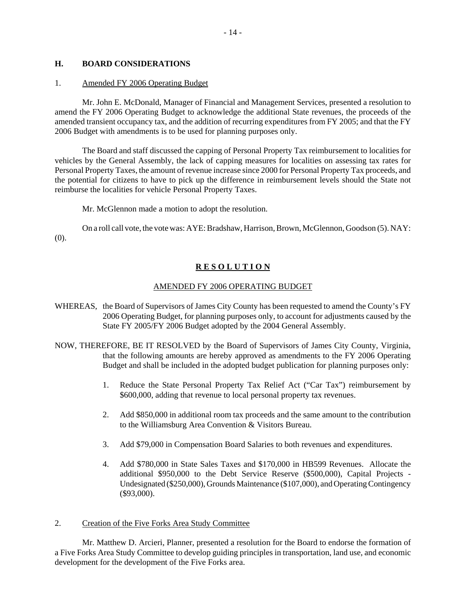#### **H. BOARD CONSIDERATIONS**

#### 1. Amended FY 2006 Operating Budget

Mr. John E. McDonald, Manager of Financial and Management Services, presented a resolution to amend the FY 2006 Operating Budget to acknowledge the additional State revenues, the proceeds of the amended transient occupancy tax, and the addition of recurring expenditures from FY 2005; and that the FY 2006 Budget with amendments is to be used for planning purposes only.

The Board and staff discussed the capping of Personal Property Tax reimbursement to localities for vehicles by the General Assembly, the lack of capping measures for localities on assessing tax rates for Personal Property Taxes, the amount of revenue increase since 2000 for Personal Property Tax proceeds, and the potential for citizens to have to pick up the difference in reimbursement levels should the State not reimburse the localities for vehicle Personal Property Taxes.

Mr. McGlennon made a motion to adopt the resolution.

On a roll call vote, the vote was: AYE: Bradshaw, Harrison, Brown, McGlennon, Goodson (5). NAY: (0).

## **R E S O L U T I O N**

#### AMENDED FY 2006 OPERATING BUDGET

- WHEREAS, the Board of Supervisors of James City County has been requested to amend the County's FY 2006 Operating Budget, for planning purposes only, to account for adjustments caused by the State FY 2005/FY 2006 Budget adopted by the 2004 General Assembly.
- NOW, THEREFORE, BE IT RESOLVED by the Board of Supervisors of James City County, Virginia, that the following amounts are hereby approved as amendments to the FY 2006 Operating Budget and shall be included in the adopted budget publication for planning purposes only:
	- 1. Reduce the State Personal Property Tax Relief Act ("Car Tax") reimbursement by \$600,000, adding that revenue to local personal property tax revenues.
	- 2. Add \$850,000 in additional room tax proceeds and the same amount to the contribution to the Williamsburg Area Convention & Visitors Bureau.
	- 3. Add \$79,000 in Compensation Board Salaries to both revenues and expenditures.
	- 4. Add \$780,000 in State Sales Taxes and \$170,000 in HB599 Revenues. Allocate the additional \$950,000 to the Debt Service Reserve (\$500,000), Capital Projects - Undesignated (\$250,000), Grounds Maintenance (\$107,000), and Operating Contingency (\$93,000).

#### 2. Creation of the Five Forks Area Study Committee

Mr. Matthew D. Arcieri, Planner, presented a resolution for the Board to endorse the formation of a Five Forks Area Study Committee to develop guiding principles in transportation, land use, and economic development for the development of the Five Forks area.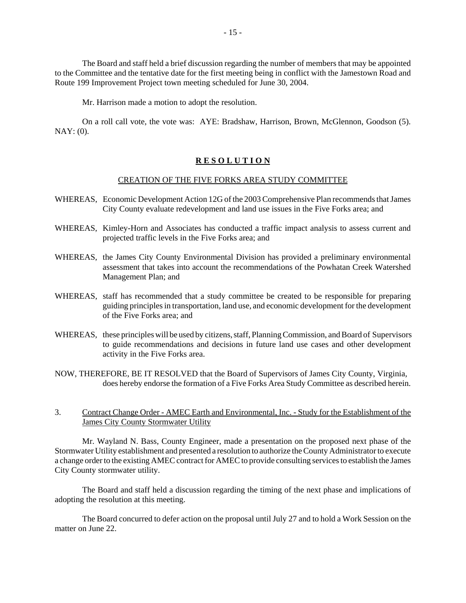The Board and staff held a brief discussion regarding the number of members that may be appointed to the Committee and the tentative date for the first meeting being in conflict with the Jamestown Road and Route 199 Improvement Project town meeting scheduled for June 30, 2004.

Mr. Harrison made a motion to adopt the resolution.

On a roll call vote, the vote was: AYE: Bradshaw, Harrison, Brown, McGlennon, Goodson (5). NAY: (0).

#### **R E S O L U T I O N**

#### CREATION OF THE FIVE FORKS AREA STUDY COMMITTEE

- WHEREAS, Economic Development Action 12G of the 2003 Comprehensive Plan recommends that James City County evaluate redevelopment and land use issues in the Five Forks area; and
- WHEREAS, Kimley-Horn and Associates has conducted a traffic impact analysis to assess current and projected traffic levels in the Five Forks area; and
- WHEREAS, the James City County Environmental Division has provided a preliminary environmental assessment that takes into account the recommendations of the Powhatan Creek Watershed Management Plan; and
- WHEREAS, staff has recommended that a study committee be created to be responsible for preparing guiding principles in transportation, land use, and economic development for the development of the Five Forks area; and
- WHEREAS, these principles will be used by citizens, staff, Planning Commission, and Board of Supervisors to guide recommendations and decisions in future land use cases and other development activity in the Five Forks area.
- NOW, THEREFORE, BE IT RESOLVED that the Board of Supervisors of James City County, Virginia, does hereby endorse the formation of a Five Forks Area Study Committee as described herein.

#### 3. Contract Change Order - AMEC Earth and Environmental, Inc. - Study for the Establishment of the James City County Stormwater Utility

Mr. Wayland N. Bass, County Engineer, made a presentation on the proposed next phase of the Stormwater Utility establishment and presented a resolution to authorize the County Administrator to execute a change order to the existing AMEC contract for AMEC to provide consulting services to establish the James City County stormwater utility.

The Board and staff held a discussion regarding the timing of the next phase and implications of adopting the resolution at this meeting.

The Board concurred to defer action on the proposal until July 27 and to hold a Work Session on the matter on June 22.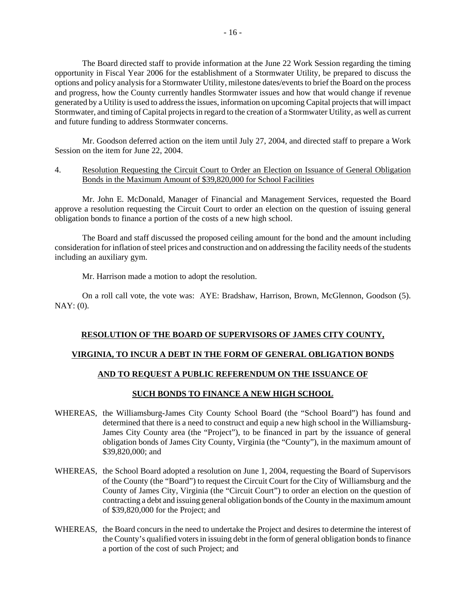The Board directed staff to provide information at the June 22 Work Session regarding the timing opportunity in Fiscal Year 2006 for the establishment of a Stormwater Utility, be prepared to discuss the options and policy analysis for a Stormwater Utility, milestone dates/events to brief the Board on the process and progress, how the County currently handles Stormwater issues and how that would change if revenue generated by a Utility is used to address the issues, information on upcoming Capital projects that will impact Stormwater, and timing of Capital projects in regard to the creation of a Stormwater Utility, as well as current and future funding to address Stormwater concerns.

Mr. Goodson deferred action on the item until July 27, 2004, and directed staff to prepare a Work Session on the item for June 22, 2004.

#### 4. Resolution Requesting the Circuit Court to Order an Election on Issuance of General Obligation Bonds in the Maximum Amount of \$39,820,000 for School Facilities

Mr. John E. McDonald, Manager of Financial and Management Services, requested the Board approve a resolution requesting the Circuit Court to order an election on the question of issuing general obligation bonds to finance a portion of the costs of a new high school.

The Board and staff discussed the proposed ceiling amount for the bond and the amount including consideration for inflation of steel prices and construction and on addressing the facility needs of the students including an auxiliary gym.

Mr. Harrison made a motion to adopt the resolution.

On a roll call vote, the vote was: AYE: Bradshaw, Harrison, Brown, McGlennon, Goodson (5). NAY: (0).

#### **RESOLUTION OF THE BOARD OF SUPERVISORS OF JAMES CITY COUNTY,**

#### **VIRGINIA, TO INCUR A DEBT IN THE FORM OF GENERAL OBLIGATION BONDS**

#### **AND TO REQUEST A PUBLIC REFERENDUM ON THE ISSUANCE OF**

#### **SUCH BONDS TO FINANCE A NEW HIGH SCHOOL**

- WHEREAS, the Williamsburg-James City County School Board (the "School Board") has found and determined that there is a need to construct and equip a new high school in the Williamsburg-James City County area (the "Project"), to be financed in part by the issuance of general obligation bonds of James City County, Virginia (the "County"), in the maximum amount of \$39,820,000; and
- WHEREAS, the School Board adopted a resolution on June 1, 2004, requesting the Board of Supervisors of the County (the "Board") to request the Circuit Court for the City of Williamsburg and the County of James City, Virginia (the "Circuit Court") to order an election on the question of contracting a debt and issuing general obligation bonds of the County in the maximum amount of \$39,820,000 for the Project; and
- WHEREAS, the Board concurs in the need to undertake the Project and desires to determine the interest of the County's qualified voters in issuing debt in the form of general obligation bonds to finance a portion of the cost of such Project; and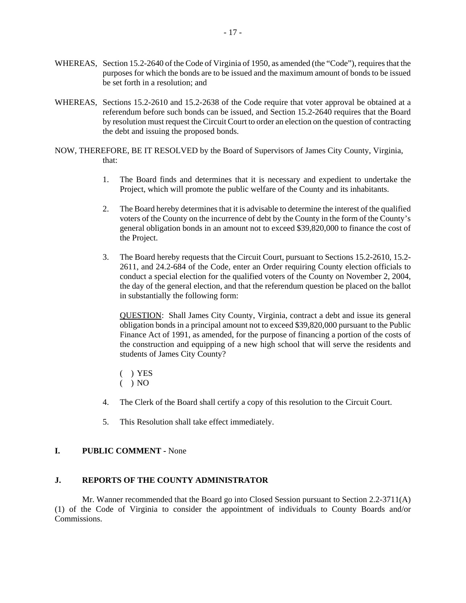- WHEREAS, Section 15.2-2640 of the Code of Virginia of 1950, as amended (the "Code"), requires that the purposes for which the bonds are to be issued and the maximum amount of bonds to be issued be set forth in a resolution; and
- WHEREAS, Sections 15.2-2610 and 15.2-2638 of the Code require that voter approval be obtained at a referendum before such bonds can be issued, and Section 15.2-2640 requires that the Board by resolution must request the Circuit Court to order an election on the question of contracting the debt and issuing the proposed bonds.
- NOW, THEREFORE, BE IT RESOLVED by the Board of Supervisors of James City County, Virginia, that:
	- 1. The Board finds and determines that it is necessary and expedient to undertake the Project, which will promote the public welfare of the County and its inhabitants.
	- 2. The Board hereby determines that it is advisable to determine the interest of the qualified voters of the County on the incurrence of debt by the County in the form of the County's general obligation bonds in an amount not to exceed \$39,820,000 to finance the cost of the Project.
	- 3. The Board hereby requests that the Circuit Court, pursuant to Sections 15.2-2610, 15.2- 2611, and 24.2-684 of the Code, enter an Order requiring County election officials to conduct a special election for the qualified voters of the County on November 2, 2004, the day of the general election, and that the referendum question be placed on the ballot in substantially the following form:

QUESTION: Shall James City County, Virginia, contract a debt and issue its general obligation bonds in a principal amount not to exceed \$39,820,000 pursuant to the Public Finance Act of 1991, as amended, for the purpose of financing a portion of the costs of the construction and equipping of a new high school that will serve the residents and students of James City County?

- ( ) YES
- $( )$  NO
- 4. The Clerk of the Board shall certify a copy of this resolution to the Circuit Court.
- 5. This Resolution shall take effect immediately.

#### **I. PUBLIC COMMENT -** None

#### **J. REPORTS OF THE COUNTY ADMINISTRATOR**

Mr. Wanner recommended that the Board go into Closed Session pursuant to Section 2.2-3711(A) (1) of the Code of Virginia to consider the appointment of individuals to County Boards and/or Commissions.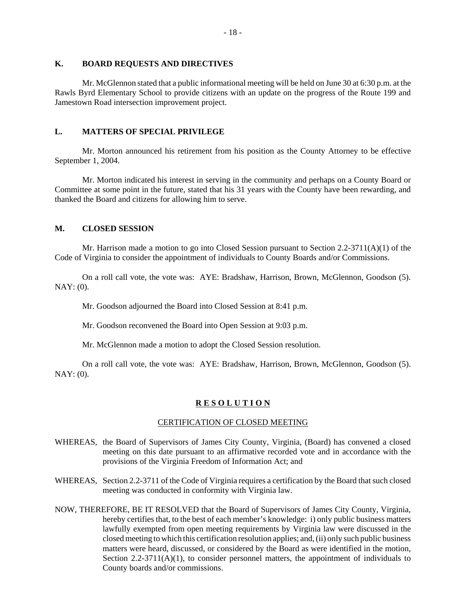#### **K. BOARD REQUESTS AND DIRECTIVES**

Mr. McGlennon stated that a public informational meeting will be held on June 30 at 6:30 p.m. at the Rawls Byrd Elementary School to provide citizens with an update on the progress of the Route 199 and Jamestown Road intersection improvement project.

#### **L. MATTERS OF SPECIAL PRIVILEGE**

Mr. Morton announced his retirement from his position as the County Attorney to be effective September 1, 2004.

Mr. Morton indicated his interest in serving in the community and perhaps on a County Board or Committee at some point in the future, stated that his 31 years with the County have been rewarding, and thanked the Board and citizens for allowing him to serve.

## **M. CLOSED SESSION**

Mr. Harrison made a motion to go into Closed Session pursuant to Section  $2.2\n-3711(A)(1)$  of the Code of Virginia to consider the appointment of individuals to County Boards and/or Commissions.

On a roll call vote, the vote was: AYE: Bradshaw, Harrison, Brown, McGlennon, Goodson (5). NAY: (0).

Mr. Goodson adjourned the Board into Closed Session at 8:41 p.m.

Mr. Goodson reconvened the Board into Open Session at 9:03 p.m.

Mr. McGlennon made a motion to adopt the Closed Session resolution.

On a roll call vote, the vote was: AYE: Bradshaw, Harrison, Brown, McGlennon, Goodson (5).  $NAY: (0)$ .

## **R E S O L U T I O N**

## CERTIFICATION OF CLOSED MEETING

- WHEREAS, the Board of Supervisors of James City County, Virginia, (Board) has convened a closed meeting on this date pursuant to an affirmative recorded vote and in accordance with the provisions of the Virginia Freedom of Information Act; and
- WHEREAS, Section 2.2-3711 of the Code of Virginia requires a certification by the Board that such closed meeting was conducted in conformity with Virginia law.
- NOW, THEREFORE, BE IT RESOLVED that the Board of Supervisors of James City County, Virginia, hereby certifies that, to the best of each member's knowledge: i) only public business matters lawfully exempted from open meeting requirements by Virginia law were discussed in the closed meeting to which this certification resolution applies; and, (ii) only such public business matters were heard, discussed, or considered by the Board as were identified in the motion, Section  $2.2-3711(A)(1)$ , to consider personnel matters, the appointment of individuals to County boards and/or commissions.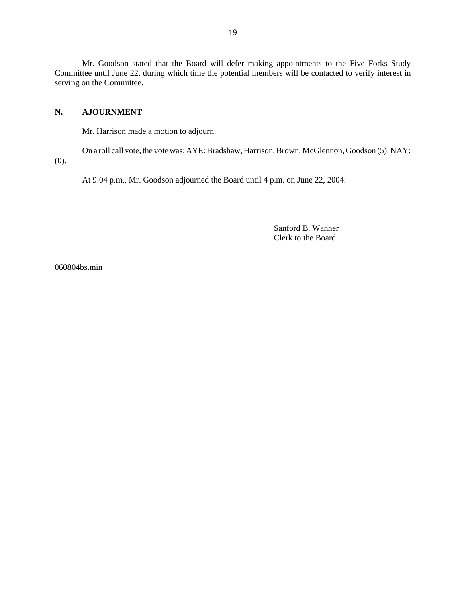Mr. Goodson stated that the Board will defer making appointments to the Five Forks Study Committee until June 22, during which time the potential members will be contacted to verify interest in serving on the Committee.

## **N. AJOURNMENT**

Mr. Harrison made a motion to adjourn.

On a roll call vote, the vote was: AYE: Bradshaw, Harrison, Brown, McGlennon, Goodson (5). NAY:

(0).

At 9:04 p.m., Mr. Goodson adjourned the Board until 4 p.m. on June 22, 2004.

Sanford B. Wanner Clerk to the Board

\_\_\_\_\_\_\_\_\_\_\_\_\_\_\_\_\_\_\_\_\_\_\_\_\_\_\_\_\_\_\_\_

060804bs.min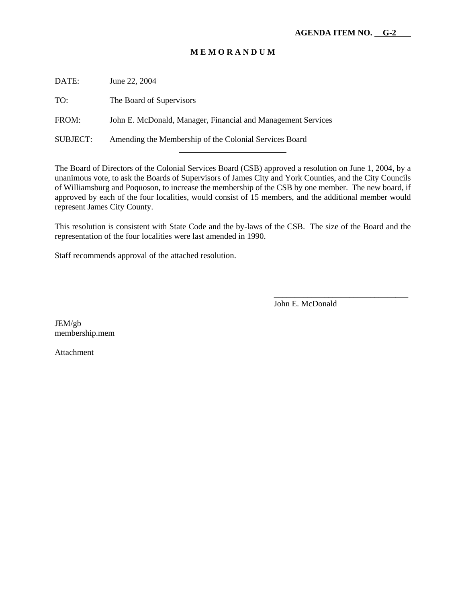## **M E M O R A N D U M**

DATE: June 22, 2004 TO: The Board of Supervisors FROM: John E. McDonald, Manager, Financial and Management Services SUBJECT: Amending the Membership of the Colonial Services Board l

The Board of Directors of the Colonial Services Board (CSB) approved a resolution on June 1, 2004, by a unanimous vote, to ask the Boards of Supervisors of James City and York Counties, and the City Councils of Williamsburg and Poquoson, to increase the membership of the CSB by one member. The new board, if approved by each of the four localities, would consist of 15 members, and the additional member would represent James City County.

This resolution is consistent with State Code and the by-laws of the CSB. The size of the Board and the representation of the four localities were last amended in 1990.

Staff recommends approval of the attached resolution.

John E. McDonald

\_\_\_\_\_\_\_\_\_\_\_\_\_\_\_\_\_\_\_\_\_\_\_\_\_\_\_\_\_\_\_\_

JEM/gb membership.mem

Attachment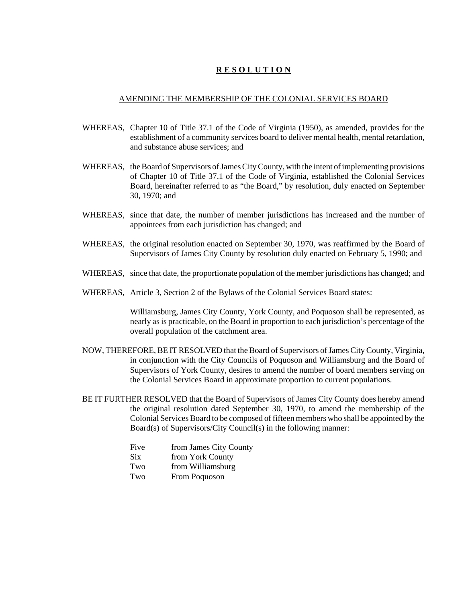## **R E S O L U T I O N**

#### AMENDING THE MEMBERSHIP OF THE COLONIAL SERVICES BOARD

- WHEREAS, Chapter 10 of Title 37.1 of the Code of Virginia (1950), as amended, provides for the establishment of a community services board to deliver mental health, mental retardation, and substance abuse services; and
- WHEREAS, the Board of Supervisors of James City County, with the intent of implementing provisions of Chapter 10 of Title 37.1 of the Code of Virginia, established the Colonial Services Board, hereinafter referred to as "the Board," by resolution, duly enacted on September 30, 1970; and
- WHEREAS, since that date, the number of member jurisdictions has increased and the number of appointees from each jurisdiction has changed; and
- WHEREAS, the original resolution enacted on September 30, 1970, was reaffirmed by the Board of Supervisors of James City County by resolution duly enacted on February 5, 1990; and
- WHEREAS, since that date, the proportionate population of the member jurisdictions has changed; and
- WHEREAS, Article 3, Section 2 of the Bylaws of the Colonial Services Board states:

Williamsburg, James City County, York County, and Poquoson shall be represented, as nearly as is practicable, on the Board in proportion to each jurisdiction's percentage of the overall population of the catchment area.

- NOW, THEREFORE, BE IT RESOLVED that the Board of Supervisors of James City County, Virginia, in conjunction with the City Councils of Poquoson and Williamsburg and the Board of Supervisors of York County, desires to amend the number of board members serving on the Colonial Services Board in approximate proportion to current populations.
- BE IT FURTHER RESOLVED that the Board of Supervisors of James City County does hereby amend the original resolution dated September 30, 1970, to amend the membership of the Colonial Services Board to be composed of fifteen members who shall be appointed by the Board(s) of Supervisors/City Council(s) in the following manner:

| Five       | from James City County |
|------------|------------------------|
| <b>Six</b> | from York County       |
| Two        | from Williamsburg      |
| Two        | From Poquoson          |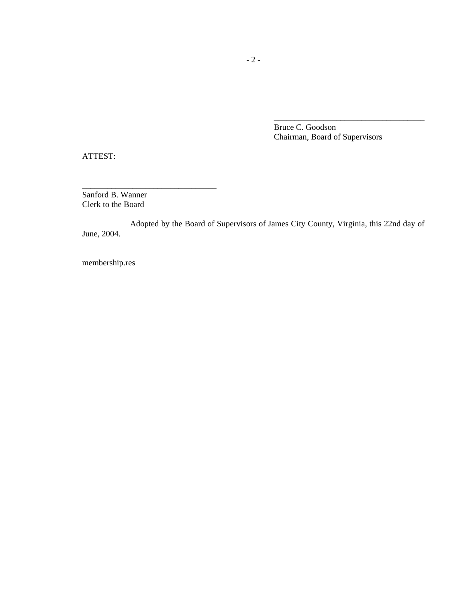Bruce C. Goodson Chairman, Board of Supervisors

\_\_\_\_\_\_\_\_\_\_\_\_\_\_\_\_\_\_\_\_\_\_\_\_\_\_\_\_\_\_\_\_\_\_\_\_

ATTEST:

Sanford B. Wanner Clerk to the Board

\_\_\_\_\_\_\_\_\_\_\_\_\_\_\_\_\_\_\_\_\_\_\_\_\_\_\_\_\_\_\_\_

Adopted by the Board of Supervisors of James City County, Virginia, this 22nd day of June, 2004.

membership.res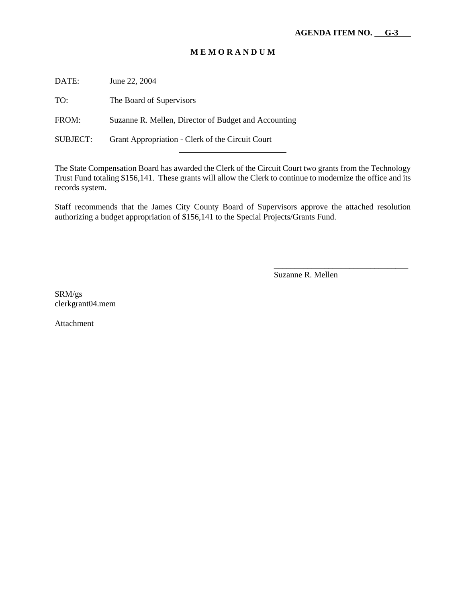## **M E M O R A N D U M**

DATE: June 22, 2004

TO: The Board of Supervisors

FROM: Suzanne R. Mellen, Director of Budget and Accounting

l

SUBJECT: Grant Appropriation - Clerk of the Circuit Court

The State Compensation Board has awarded the Clerk of the Circuit Court two grants from the Technology Trust Fund totaling \$156,141. These grants will allow the Clerk to continue to modernize the office and its records system.

Staff recommends that the James City County Board of Supervisors approve the attached resolution authorizing a budget appropriation of \$156,141 to the Special Projects/Grants Fund.

Suzanne R. Mellen

\_\_\_\_\_\_\_\_\_\_\_\_\_\_\_\_\_\_\_\_\_\_\_\_\_\_\_\_\_\_\_\_

SRM/gs clerkgrant04.mem

Attachment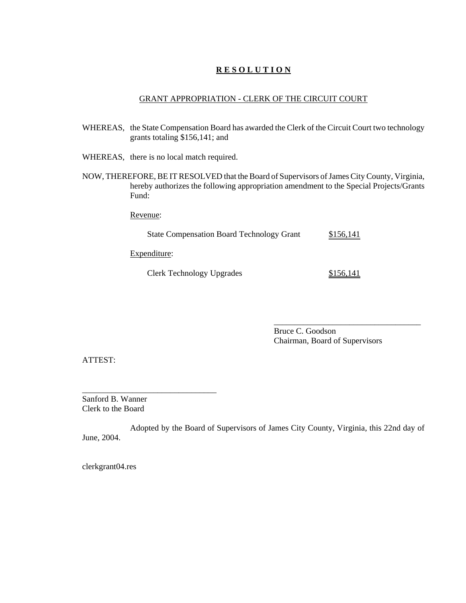## **R E S O L U T I O N**

#### GRANT APPROPRIATION - CLERK OF THE CIRCUIT COURT

- WHEREAS, the State Compensation Board has awarded the Clerk of the Circuit Court two technology grants totaling \$156,141; and
- WHEREAS, there is no local match required.
- NOW, THEREFORE, BE IT RESOLVED that the Board of Supervisors of James City County, Virginia, hereby authorizes the following appropriation amendment to the Special Projects/Grants Fund:

Revenue:

State Compensation Board Technology Grant \$156,141

Expenditure:

\_\_\_\_\_\_\_\_\_\_\_\_\_\_\_\_\_\_\_\_\_\_\_\_\_\_\_\_\_\_\_\_

Clerk Technology Upgrades \$156,141

\_\_\_\_\_\_\_\_\_\_\_\_\_\_\_\_\_\_\_\_\_\_\_\_\_\_\_\_\_\_\_\_\_\_\_

Bruce C. Goodson Chairman, Board of Supervisors

ATTEST:

Sanford B. Wanner Clerk to the Board

Adopted by the Board of Supervisors of James City County, Virginia, this 22nd day of June, 2004.

clerkgrant04.res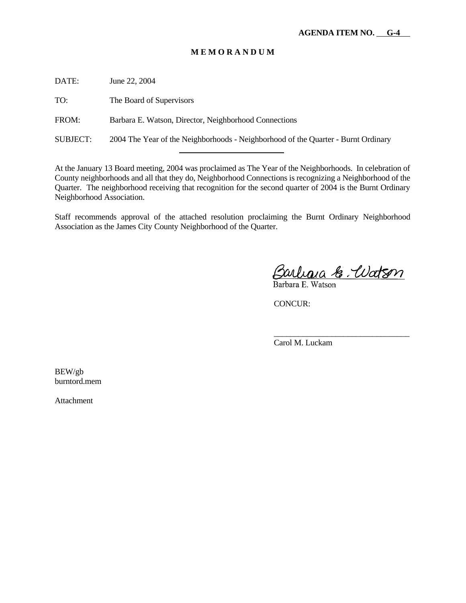#### **M E M O R A N D U M**

DATE: June 22, 2004

TO: The Board of Supervisors

FROM: Barbara E. Watson, Director, Neighborhood Connections

l

SUBJECT: 2004 The Year of the Neighborhoods - Neighborhood of the Quarter - Burnt Ordinary

At the January 13 Board meeting, 2004 was proclaimed as The Year of the Neighborhoods. In celebration of County neighborhoods and all that they do, Neighborhood Connections is recognizing a Neighborhood of the Quarter. The neighborhood receiving that recognition for the second quarter of 2004 is the Burnt Ordinary Neighborhood Association.

Staff recommends approval of the attached resolution proclaiming the Burnt Ordinary Neighborhood Association as the James City County Neighborhood of the Quarter.

Barlana & Udtson

\_\_\_\_\_\_\_\_\_\_\_\_\_\_\_\_\_\_\_\_\_\_\_\_\_\_\_\_\_\_\_\_\_

CONCUR:

Carol M. Luckam

BEW/gb burntord.mem

Attachment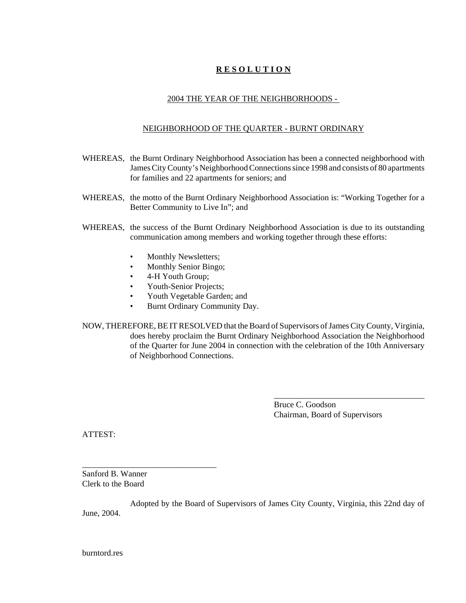## **R E S O L U T I O N**

## 2004 THE YEAR OF THE NEIGHBORHOODS -

#### NEIGHBORHOOD OF THE QUARTER - BURNT ORDINARY

- WHEREAS, the Burnt Ordinary Neighborhood Association has been a connected neighborhood with James City County's Neighborhood Connections since 1998 and consists of 80 apartments for families and 22 apartments for seniors; and
- WHEREAS, the motto of the Burnt Ordinary Neighborhood Association is: "Working Together for a Better Community to Live In"; and
- WHEREAS, the success of the Burnt Ordinary Neighborhood Association is due to its outstanding communication among members and working together through these efforts:
	- Monthly Newsletters;
	- Monthly Senior Bingo;
	- 4-H Youth Group;
	- Youth-Senior Projects;
	- Youth Vegetable Garden; and
	- Burnt Ordinary Community Day.
- NOW, THEREFORE, BE IT RESOLVED that the Board of Supervisors of James City County, Virginia, does hereby proclaim the Burnt Ordinary Neighborhood Association the Neighborhood of the Quarter for June 2004 in connection with the celebration of the 10th Anniversary of Neighborhood Connections.

Bruce C. Goodson Chairman, Board of Supervisors

\_\_\_\_\_\_\_\_\_\_\_\_\_\_\_\_\_\_\_\_\_\_\_\_\_\_\_\_\_\_\_\_\_\_\_\_

ATTEST:

Sanford B. Wanner Clerk to the Board

\_\_\_\_\_\_\_\_\_\_\_\_\_\_\_\_\_\_\_\_\_\_\_\_\_\_\_\_\_\_\_\_

Adopted by the Board of Supervisors of James City County, Virginia, this 22nd day of June, 2004.

burntord.res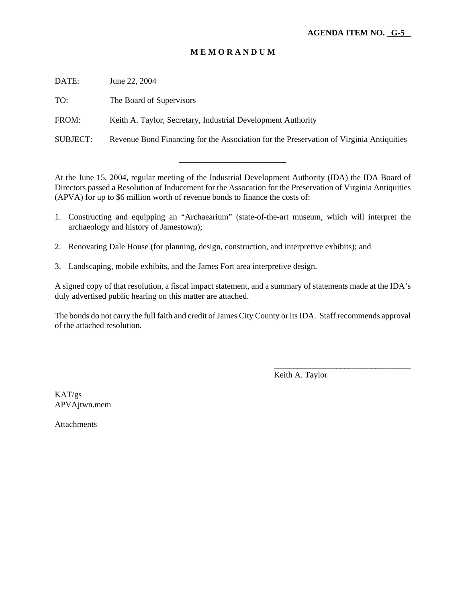## **M E M O R A N D U M**

DATE: June 22, 2004

TO: The Board of Supervisors

FROM: Keith A. Taylor, Secretary, Industrial Development Authority

l

SUBJECT: Revenue Bond Financing for the Association for the Preservation of Virginia Antiquities

At the June 15, 2004, regular meeting of the Industrial Development Authority (IDA) the IDA Board of Directors passed a Resolution of Inducement for the Assocation for the Preservation of Virginia Antiquities (APVA) for up to \$6 million worth of revenue bonds to finance the costs of:

- 1. Constructing and equipping an "Archaearium" (state-of-the-art museum, which will interpret the archaeology and history of Jamestown);
- 2. Renovating Dale House (for planning, design, construction, and interpretive exhibits); and
- 3. Landscaping, mobile exhibits, and the James Fort area interpretive design.

A signed copy of that resolution, a fiscal impact statement, and a summary of statements made at the IDA's duly advertised public hearing on this matter are attached.

The bonds do not carry the full faith and credit of James City County or its IDA. Staff recommends approval of the attached resolution.

Keith A. Taylor

\_\_\_\_\_\_\_\_\_\_\_\_\_\_\_\_\_\_\_\_\_\_\_\_\_\_\_\_\_\_\_\_\_\_\_

KAT/gs APVAjtwn.mem

Attachments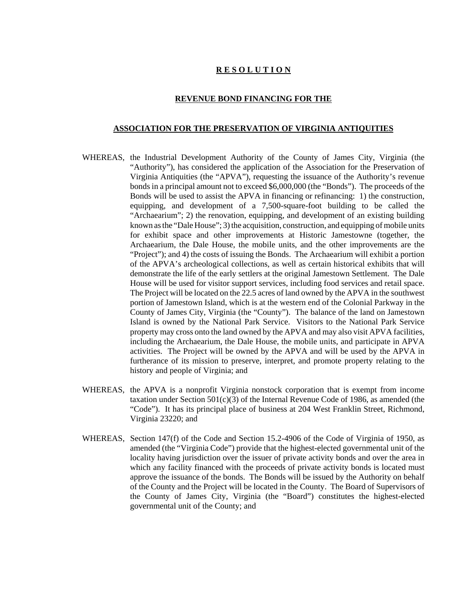#### **R E S O L U T I O N**

#### **REVENUE BOND FINANCING FOR THE**

#### **ASSOCIATION FOR THE PRESERVATION OF VIRGINIA ANTIQUITIES**

- WHEREAS, the Industrial Development Authority of the County of James City, Virginia (the "Authority"), has considered the application of the Association for the Preservation of Virginia Antiquities (the "APVA"), requesting the issuance of the Authority's revenue bonds in a principal amount not to exceed \$6,000,000 (the "Bonds"). The proceeds of the Bonds will be used to assist the APVA in financing or refinancing: 1) the construction, equipping, and development of a 7,500-square-foot building to be called the "Archaearium"; 2) the renovation, equipping, and development of an existing building known as the "Dale House"; 3) the acquisition, construction, and equipping of mobile units for exhibit space and other improvements at Historic Jamestowne (together, the Archaearium, the Dale House, the mobile units, and the other improvements are the "Project"); and 4) the costs of issuing the Bonds. The Archaearium will exhibit a portion of the APVA's archeological collections, as well as certain historical exhibits that will demonstrate the life of the early settlers at the original Jamestown Settlement. The Dale House will be used for visitor support services, including food services and retail space. The Project will be located on the 22.5 acres of land owned by the APVA in the southwest portion of Jamestown Island, which is at the western end of the Colonial Parkway in the County of James City, Virginia (the "County"). The balance of the land on Jamestown Island is owned by the National Park Service. Visitors to the National Park Service property may cross onto the land owned by the APVA and may also visit APVA facilities, including the Archaearium, the Dale House, the mobile units, and participate in APVA activities. The Project will be owned by the APVA and will be used by the APVA in furtherance of its mission to preserve, interpret, and promote property relating to the history and people of Virginia; and
- WHEREAS, the APVA is a nonprofit Virginia nonstock corporation that is exempt from income taxation under Section  $501(c)(3)$  of the Internal Revenue Code of 1986, as amended (the "Code"). It has its principal place of business at 204 West Franklin Street, Richmond, Virginia 23220; and
- WHEREAS, Section 147(f) of the Code and Section 15.2-4906 of the Code of Virginia of 1950, as amended (the "Virginia Code") provide that the highest-elected governmental unit of the locality having jurisdiction over the issuer of private activity bonds and over the area in which any facility financed with the proceeds of private activity bonds is located must approve the issuance of the bonds. The Bonds will be issued by the Authority on behalf of the County and the Project will be located in the County. The Board of Supervisors of the County of James City, Virginia (the "Board") constitutes the highest-elected governmental unit of the County; and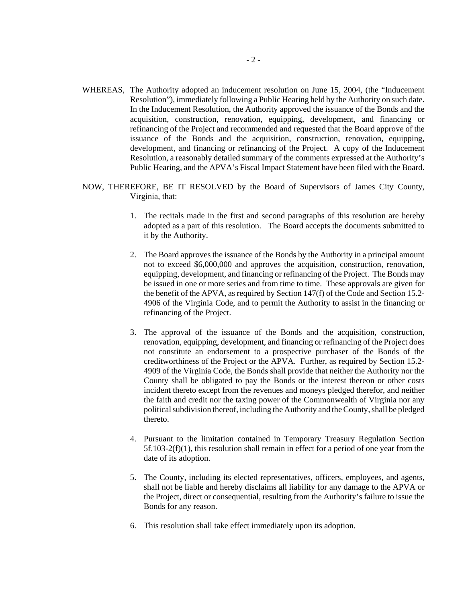- WHEREAS, The Authority adopted an inducement resolution on June 15, 2004, (the "Inducement Resolution"), immediately following a Public Hearing held by the Authority on such date. In the Inducement Resolution, the Authority approved the issuance of the Bonds and the acquisition, construction, renovation, equipping, development, and financing or refinancing of the Project and recommended and requested that the Board approve of the issuance of the Bonds and the acquisition, construction, renovation, equipping, development, and financing or refinancing of the Project. A copy of the Inducement Resolution, a reasonably detailed summary of the comments expressed at the Authority's Public Hearing, and the APVA's Fiscal Impact Statement have been filed with the Board.
- NOW, THEREFORE, BE IT RESOLVED by the Board of Supervisors of James City County, Virginia, that:
	- 1. The recitals made in the first and second paragraphs of this resolution are hereby adopted as a part of this resolution. The Board accepts the documents submitted to it by the Authority.
	- 2. The Board approves the issuance of the Bonds by the Authority in a principal amount not to exceed \$6,000,000 and approves the acquisition, construction, renovation, equipping, development, and financing or refinancing of the Project. The Bonds may be issued in one or more series and from time to time. These approvals are given for the benefit of the APVA, as required by Section 147(f) of the Code and Section 15.2- 4906 of the Virginia Code, and to permit the Authority to assist in the financing or refinancing of the Project.
	- 3. The approval of the issuance of the Bonds and the acquisition, construction, renovation, equipping, development, and financing or refinancing of the Project does not constitute an endorsement to a prospective purchaser of the Bonds of the creditworthiness of the Project or the APVA. Further, as required by Section 15.2- 4909 of the Virginia Code, the Bonds shall provide that neither the Authority nor the County shall be obligated to pay the Bonds or the interest thereon or other costs incident thereto except from the revenues and moneys pledged therefor, and neither the faith and credit nor the taxing power of the Commonwealth of Virginia nor any political subdivision thereof, including the Authority and the County, shall be pledged thereto.
	- 4. Pursuant to the limitation contained in Temporary Treasury Regulation Section 5f.103-2(f)(1), this resolution shall remain in effect for a period of one year from the date of its adoption.
	- 5. The County, including its elected representatives, officers, employees, and agents, shall not be liable and hereby disclaims all liability for any damage to the APVA or the Project, direct or consequential, resulting from the Authority's failure to issue the Bonds for any reason.
	- 6. This resolution shall take effect immediately upon its adoption.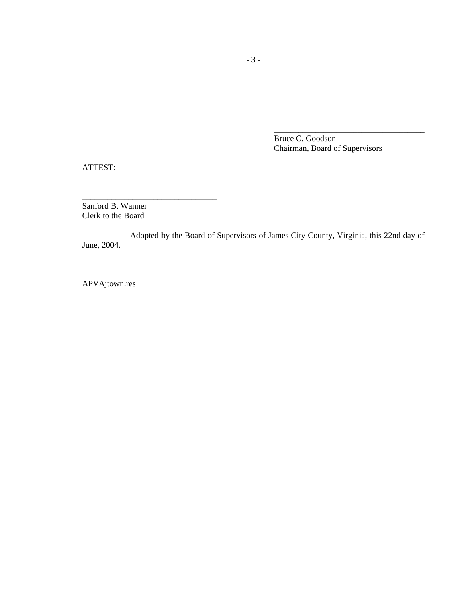Bruce C. Goodson Chairman, Board of Supervisors

\_\_\_\_\_\_\_\_\_\_\_\_\_\_\_\_\_\_\_\_\_\_\_\_\_\_\_\_\_\_\_\_\_\_\_\_

ATTEST:

Sanford B. Wanner Clerk to the Board

\_\_\_\_\_\_\_\_\_\_\_\_\_\_\_\_\_\_\_\_\_\_\_\_\_\_\_\_\_\_\_\_

Adopted by the Board of Supervisors of James City County, Virginia, this 22nd day of June, 2004.

APVAjtown.res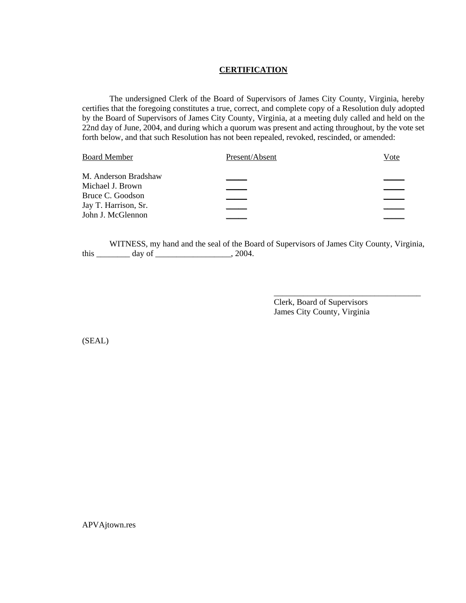#### **CERTIFICATION**

The undersigned Clerk of the Board of Supervisors of James City County, Virginia, hereby certifies that the foregoing constitutes a true, correct, and complete copy of a Resolution duly adopted by the Board of Supervisors of James City County, Virginia, at a meeting duly called and held on the 22nd day of June, 2004, and during which a quorum was present and acting throughout, by the vote set forth below, and that such Resolution has not been repealed, revoked, rescinded, or amended:

| <b>Board Member</b>  | Present/Absent | Vote |
|----------------------|----------------|------|
| M. Anderson Bradshaw |                |      |
| Michael J. Brown     |                |      |
| Bruce C. Goodson     |                |      |
| Jay T. Harrison, Sr. |                |      |
| John J. McGlennon    |                |      |

WITNESS, my hand and the seal of the Board of Supervisors of James City County, Virginia, this \_\_\_\_\_\_\_\_\_\_\_ day of \_\_\_\_\_\_\_\_\_\_\_\_\_\_\_\_\_\_\_\_\_, 2004.

> Clerk, Board of Supervisors James City County, Virginia

\_\_\_\_\_\_\_\_\_\_\_\_\_\_\_\_\_\_\_\_\_\_\_\_\_\_\_\_\_\_\_\_\_\_\_

(SEAL)

APVAjtown.res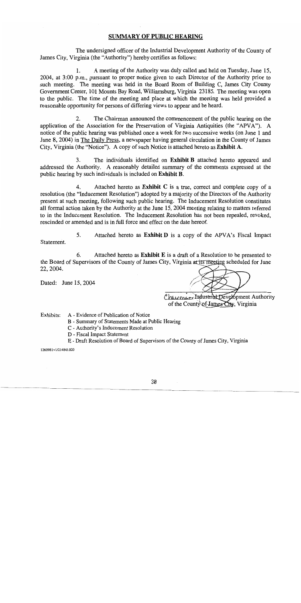## **SUMMARY OF PUBLIC HEARING**

The undersigned officer of the Industrial Development Authority of the County of James City, Virginia (the "Authority") hereby certifies as follows:

 $\mathbf{1}$ . A meeting of the Authority was duly called and held on Tuesday, June 15, 2004, at 3:00 p.m., pursuant to proper notice given to each Director of the Authority prior to such meeting. The meeting was held in the Board Room of Building C, James City County Government Center, 101 Mounts Bay Road, Williamsburg, Virginia 23185. The meeting was open to the public. The time of the meeting and place at which the meeting was held provided a reasonable opportunity for persons of differing views to appear and be heard.

 $2.$ The Chairman announced the commencement of the public hearing on the application of the Association for the Preservation of Virginia Antiquities (the "APVA"). A notice of the public hearing was published once a week for two successive weeks (on June 1 and June 8, 2004) in The Daily Press, a newspaper having general circulation in the County of James City, Virginia (the "Notice"). A copy of such Notice is attached hereto as Exhibit A.

3. The individuals identified on Exhibit B attached hereto appeared and addressed the Authority. A reasonably detailed summary of the comments expressed at the public hearing by such individuals is included on Exhibit B.

4. Attached hereto as **Exhibit** C is a true, correct and complete copy of a resolution (the "Inducement Resolution") adopted by a majority of the Directors of the Authority present at such meeting, following such public hearing. The Inducement Resolution constitutes all formal action taken by the Authority at the June 15, 2004 meeting relating to matters referred to in the Inducement Resolution. The Inducement Resolution has not been repealed, revoked, rescinded or amended and is in full force and effect on the date hereof.

5. Attached hereto as **Exhibit D** is a copy of the APVA's Fiscal Impact Statement.

6. Attached hereto as Exhibit E is a draft of a Resolution to be presented to the Board of Supervisors of the County of James City, Virginia at its meeting scheduled for June 22, 2004.

Dated: June 15, 2004

Chauman Industrial Development Authority of the County of James City, Virginia

Exhibits: A - Evidence of Publication of Notice

- B Summary of Statements Made at Public Hearing
- C Authority's Inducement Resolution
- D Fiscal Impact Statement
- E Draft Resolution of Board of Supervisors of the County of James City, Virginia

1260981v1/214845.020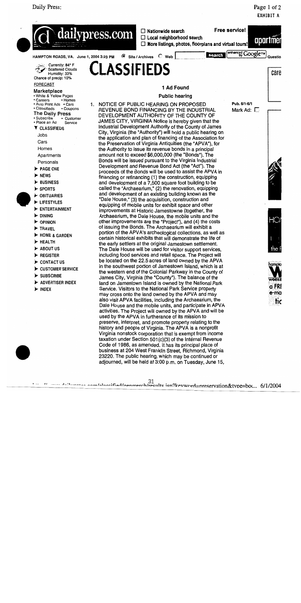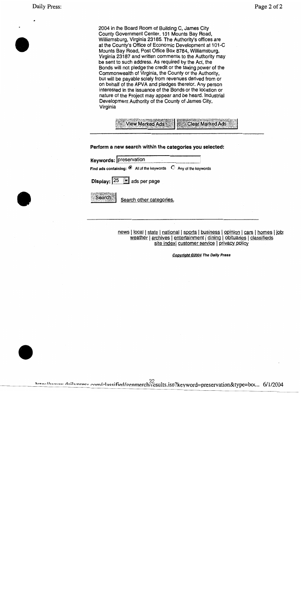2004 in the Board Room of Building C, James City County Government Center, 101 Mounts Bay Road, Williamsburg, Virginia 23185. The Authority's offices are at the County's Office of Economic Development at 101-C Mounts Bay Road, Post Office Box 8784, Williamsburg, Virginia 23187 and written comments to the Authority may be sent to such address. As required by the Act, the Bonds will not pledge the credit or the taxing power of the Commonwealth of Virginia, the County or the Authority, but will be payable solely from revenues derived from or on behalf of the APVA and pledges therefor. Any person interested in the issuance of the Bonds or the location or nature of the Project may appear and be heard. Industrial Development Authority of the County of James City, Virginia



Perform a new search within the categories you selected:

|  | Keywords: preservation |  |  |
|--|------------------------|--|--|
|--|------------------------|--|--|

Find ads containing:  $\bullet$  All of the keywords  $\circ$  Any of the keywords

Display:  $|25|$ ads per page

**Search** 

Search other categories.

news | local | state | national | sports | business | opinion | cars | homes | job: weather | archives | entertainment | dining | obituaries | classifieds site index customer service | privacy policy

**Copyright ©2004 The Daily Press**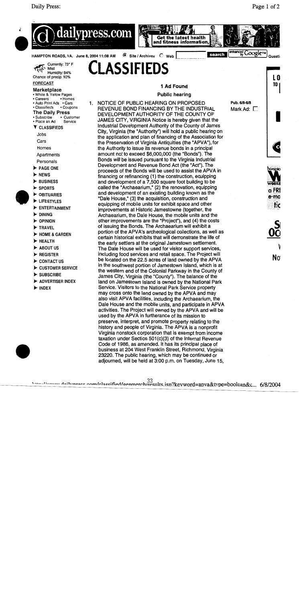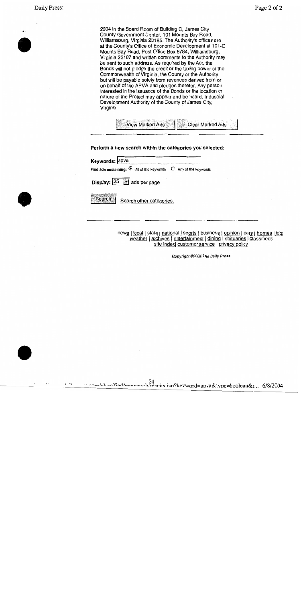2004 in the Board Room of Building C, James City County Government Center, 101 Mounts Bay Road, Williamsburg, Virginia 23185. The Authority's offices are at the County's Office of Economic Development at 101-C Mounts Bay Road, Post Office Box 8784, Williamsburg, Virginia 23187 and written comments to the Authority may be sent to such address. As required by the Act, the Bonds will not pledge the credit or the taxing power of the Commonwealth of Virginia, the County or the Authority, but will be payable solely from revenues derived from or on behalf of the APVA and pledges therefor. Any person interested in the issuance of the Bonds or the location or nature of the Project may appear and be heard. Industrial Development Authority of the County of James City, Virginia



Perform a new search within the categories you selected:

| Keywords: apva |                                                                                |  |
|----------------|--------------------------------------------------------------------------------|--|
|                | Find ads containing: $\bullet$ All of the keywords $\circ$ Any of the keywords |  |

Display: 25  $\sim$ ads per page

**Search** 

Search other categories.

news | local | state | national | sports | business | opinion | cars | homes | job: weather | archives | entertainment | dining | obituaries | classifieds site index| customer service | privacy policy

Copyright @2004 The Daily Press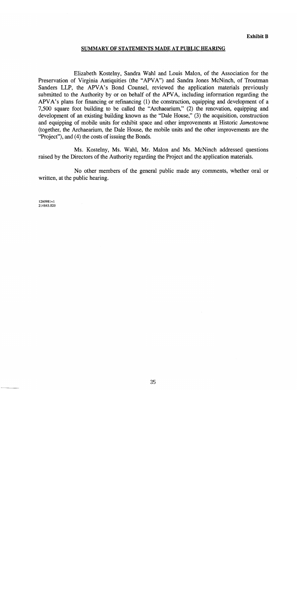#### SUMMARY OF STATEMENTS MADE AT PUBLIC HEARING

Elizabeth Kostelny, Sandra Wahl and Louis Malon, of the Association for the Preservation of Virginia Antiquities (the "APVA") and Sandra Jones McNinch, of Troutman Sanders LLP, the APVA's Bond Counsel, reviewed the application materials previously submitted to the Authority by or on behalf of the APVA, including information regarding the APVA's plans for financing or refinancing (1) the construction, equipping and development of a 7,500 square foot building to be called the "Archaearium," (2) the renovation, equipping and development of an existing building known as the "Dale House," (3) the acquisition, construction and equipping of mobile units for exhibit space and other improvements at Historic Jamestowne (together, the Archaearium, the Dale House, the mobile units and the other improvements are the "Project"), and (4) the costs of issuing the Bonds.

Ms. Kostelny, Ms. Wahl, Mr. Malon and Ms. McNinch addressed questions raised by the Directors of the Authority regarding the Project and the application materials.

No other members of the general public made any comments, whether oral or written, at the public hearing.

1260981v1 214845.020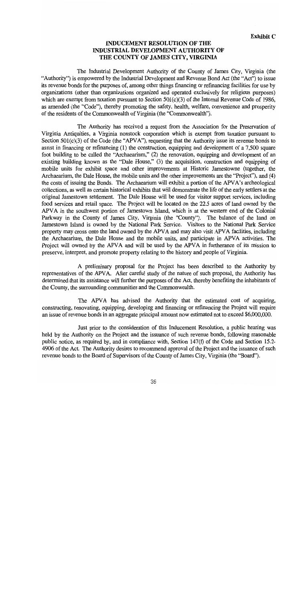## **INDUCEMENT RESOLUTION OF THE INDUSTRIAL DEVELOPMENT AUTHORITY OF** THE COUNTY OF JAMES CITY, VIRGINIA

The Industrial Development Authority of the County of James City, Virginia (the "Authority") is empowered by the Industrial Development and Revenue Bond Act (the "Act") to issue its revenue bonds for the purposes of, among other things financing or refinancing facilities for use by organizations (other than organizations organized and operated exclusively for religious purposes) which are exempt from taxation pursuant to Section  $501(c)(3)$  of the Internal Revenue Code of 1986, as amended (the "Code"), thereby promoting the safety, health, welfare, convenience and prosperity of the residents of the Commonwealth of Virginia (the "Commonwealth").

The Authority has received a request from the Association for the Preservation of Virginia Antiquities, a Virginia nonstock corporation which is exempt from taxation pursuant to Section  $501(c)(3)$  of the Code (the "APVA"), requesting that the Authority issue its revenue bonds to assist in financing or refinancing  $(1)$  the construction, equipping and development of a 7,500 square foot building to be called the "Archaearium," (2) the renovation, equipping and development of an existing building known as the "Dale House," (3) the acquisition, construction and equipping of mobile units for exhibit space and other improvements at Historic Jamestowne (together, the Archaearium, the Dale House, the mobile units and the other improvements are the "Project"), and (4) the costs of issuing the Bonds. The Archaearium will exhibit a portion of the APVA's archeological collections, as well as certain historical exhibits that will demonstrate the life of the early settlers at the original Jamestown settlement. The Dale House will be used for visitor support services, including food services and retail space. The Project will be located on the 22.5 acres of land owned by the APVA in the southwest portion of Jamestown Island, which is at the western end of the Colonial Parkway in the County of James City, Virginia (the "County"). The balance of the land on Jamestown Island is owned by the National Park Service. Visitors to the National Park Service property may cross onto the land owned by the APVA and may also visit APVA facilities, including the Archaearium, the Dale House and the mobile units, and participate in APVA activities. The Project will owned by the APVA and will be used by the APVA in furtherance of its mission to preserve, interpret, and promote property relating to the history and people of Virginia.

A preliminary proposal for the Project has been described to the Authority by representatives of the APVA. After careful study of the nature of such proposal, the Authority has determined that its assistance will further the purposes of the Act, thereby benefiting the inhabitants of the County, the surrounding communities and the Commonwealth.

The APVA has advised the Authority that the estimated cost of acquiring, constructing, renovating, equipping, developing and financing or refinancing the Project will require an issue of revenue bonds in an aggregate principal amount now estimated not to exceed \$6,000,000.

Just prior to the consideration of this Inducement Resolution, a public hearing was held by the Authority on the Project and the issuance of such revenue bonds, following reasonable public notice, as required by, and in compliance with, Section 147(f) of the Code and Section 15.2-4906 of the Act. The Authority desires to recommend approval of the Project and the issuance of such revenue bonds to the Board of Supervisors of the County of James City, Virginia (the "Board").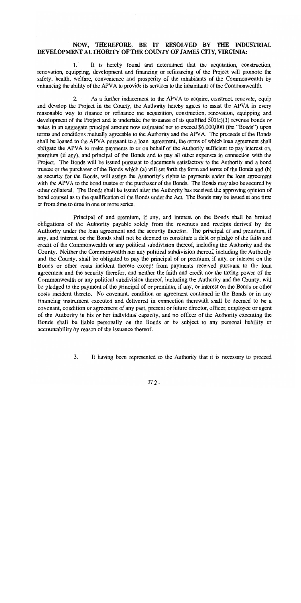## NOW, THEREFORE, BE IT RESOLVED BY THE INDUSTRIAL DEVELOPMENT AUTHORITY OF THE COUNTY OF JAMES CITY, VIRGINIA:

It is hereby found and determined that the acquisition, construction, 1. renovation, equipping, development and financing or refinancing of the Project will promote the safety, health, welfare, convenience and prosperity of the inhabitants of the Commonwealth by enhancing the ability of the APVA to provide its services to the inhabitants of the Commonwealth.

 $2.$ As a further inducement to the APVA to acquire, construct, renovate, equip and develop the Project in the County, the Authority hereby agrees to assist the APVA in every reasonable way to finance or refinance the acquisition, construction, renovation, equipping and development of the Project and to undertake the issuance of its qualified  $501(c)(3)$  revenue bonds or notes in an aggregate principal amount now estimated not to exceed \$6,000,000 (the "Bonds") upon terms and conditions mutually agreeable to the Authority and the APVA. The proceeds of the Bonds shall be loaned to the APVA pursuant to a loan agreement, the terms of which loan agreement shall obligate the APVA to make payments to or on behalf of the Authority sufficient to pay interest on, premium (if any), and principal of the Bonds and to pay all other expenses in connection with the Project. The Bonds will be issued pursuant to documents satisfactory to the Authority and a bond trustee or the purchaser of the Bonds which (a) will set forth the form and terms of the Bonds and (b) as security for the Bonds, will assign the Authority's rights to payments under the loan agreement with the APVA to the bond trustee or the purchaser of the Bonds. The Bonds may also be secured by other collateral. The Bonds shall be issued after the Authority has received the approving opinion of bond counsel as to the qualification of the Bonds under the Act. The Bonds may be issued at one time or from time to time in one or more series.

Principal of and premium, if any, and interest on the Bonds shall be limited obligations of the Authority payable solely from the revenues and receipts derived by the Authority under the loan agreement and the security therefor. The principal of and premium, if any, and interest on the Bonds shall not be deemed to constitute a debt or pledge of the faith and credit of the Commonwealth or any political subdivision thereof, including the Authority and the County. Neither the Commonwealth nor any political subdivision thereof, including the Authority and the County, shall be obligated to pay the principal of or premium, if any, or interest on the Bonds or other costs incident thereto except from payments received pursuant to the loan agreement and the security therefor, and neither the faith and credit nor the taxing power of the Commonwealth or any political subdivision thereof, including the Authority and the County, will be pledged to the payment of the principal of or premium, if any, or interest on the Bonds or other costs incident thereto. No covenant, condition or agreement contained in the Bonds or in any financing instrument executed and delivered in connection therewith shall be deemed to be a covenant, condition or agreement of any past, present or future director, officer, employee or agent of the Authority in his or her individual capacity, and no officer of the Authority executing the Bonds shall be liable personally on the Bonds or be subject to any personal liability or accountability by reason of the issuance thereof.

> 3. It having been represented to the Authority that it is necessary to proceed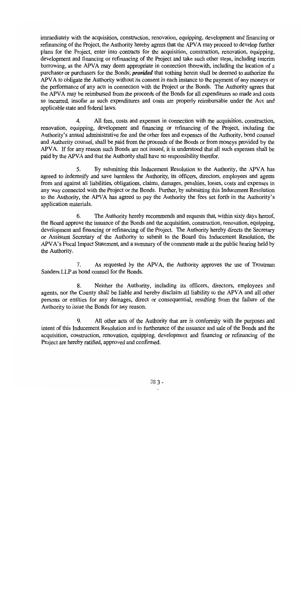immediately with the acquisition, construction, renovation, equipping, development and financing or refinancing of the Project, the Authority hereby agrees that the APVA may proceed to develop further plans for the Project, enter into contracts for the acquisition, construction, renovation, equipping, development and financing or refinancing of the Project and take such other steps, including interim borrowing, as the APVA may deem appropriate in connection therewith, including the location of a purchaser or purchasers for the Bonds; *provided* that nothing herein shall be deemed to authorize the APVA to obligate the Authority without its consent in each instance to the payment of any moneys or the performance of any acts in connection with the Project or the Bonds. The Authority agrees that the APVA may be reimbursed from the proceeds of the Bonds for all expenditures so made and costs so incurred, insofar as such expenditures and costs are properly reimbursable under the Act and applicable state and federal laws.

 $\overline{4}$ . All fees, costs and expenses in connection with the acquisition, construction, renovation, equipping, development and financing or refinancing of the Project, including the Authority's annual administrative fee and the other fees and expenses of the Authority, bond counsel and Authority counsel, shall be paid from the proceeds of the Bonds or from moneys provided by the APVA. If for any reason such Bonds are not issued, it is understood that all such expenses shall be paid by the APVA and that the Authority shall have no responsibility therefor.

5. By submitting this Inducement Resolution to the Authority, the APVA has agreed to indemnify and save harmless the Authority, its officers, directors, employees and agents from and against all liabilities, obligations, claims, damages, penalties, losses, costs and expenses in any way connected with the Project or the Bonds. Further, by submitting this Inducement Resolution to the Authority, the APVA has agreed to pay the Authority the fees set forth in the Authority's application materials.

6. The Authority hereby recommends and requests that, within sixty days hereof, the Board approve the issuance of the Bonds and the acquisition, construction, renovation, equipping, development and financing or refinancing of the Project. The Authority hereby directs the Secretary or Assistant Secretary of the Authority to submit to the Board this Inducement Resolution, the APVA's Fiscal Impact Statement, and a summary of the comments made at the public hearing held by the Authority.

7. As requested by the APVA, the Authority approves the use of Troutman Sanders LLP as bond counsel for the Bonds.

8. Neither the Authority, including its officers, directors, employees and agents, nor the County shall be liable and hereby disclaim all liability to the APVA and all other persons or entities for any damages, direct or consequential, resulting from the failure of the Authority to issue the Bonds for any reason.

9. All other acts of the Authority that are in conformity with the purposes and intent of this Inducement Resolution and in furtherance of the issuance and sale of the Bonds and the acquisition, construction, renovation, equipping, development and financing or refinancing of the Project are hereby ratified, approved and confirmed.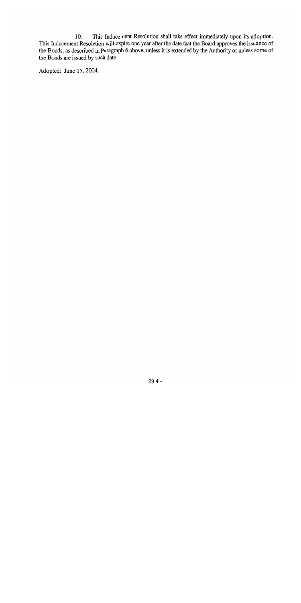10. This Inducement Resolution shall take effect immediately upon its adoption. This Inducement Resolution will expire one year after the date that the Board approves the issuance of the Bonds, as described in Paragraph 6 above, unless it is extended by the Authority or unless some of the Bonds are issued by such date.

Adopted: June 15, 2004.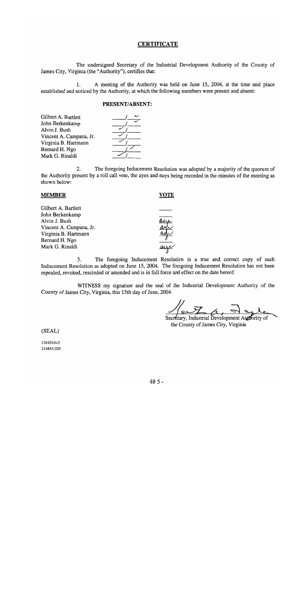#### **CERTIFICATE**

The undersigned Secretary of the Industrial Development Authority of the County of James City, Virginia (the "Authority"), certifies that:

 $1.$ A meeting of the Authority was held on June 15, 2004, at the time and place established and noticed by the Authority, at which the following members were present and absent:

#### PRESENT/ABSENT:

The foregoing Inducement Resolution was adopted by a majority of the quorum of  $2.$ the Authority present by a roll call vote, the ayes and nays being recorded in the minutes of the meeting as shown below:

| <b>MEMBER</b>           |  |
|-------------------------|--|
| Gilbert A. Bartlett     |  |
| John Berkenkamp         |  |
| Alvin J. Bush           |  |
| Vincent A. Campana, Jr. |  |
| Virginia B. Hartmann    |  |
| Bernard H. Ngo          |  |
| Mark G. Rinaldi         |  |
|                         |  |

The foregoing Inducement Resolution is a true and correct copy of such 3. Inducement Resolution as adopted on June 15, 2004. The foregoing Inducement Resolution has not been repealed, revoked, rescinded or amended and is in full force and effect on the date hereof.

WITNESS my signature and the seal of the Industrial Development Authority of the County of James City, Virginia, this 15th day of June, 2004.

Secretary, Industrial Development Authority of

the County of James City, Virginia

(SEAL)

1261016v2 214845.020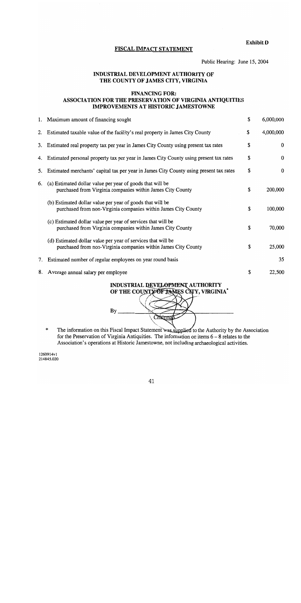**Exhibit D** 

## FISCAL IMPACT STATEMENT

Public Hearing: June 15, 2004

## INDUSTRIAL DEVELOPMENT AUTHORITY OF THE COUNTY OF JAMES CITY, VIRGINIA

#### **FINANCING FOR:** ASSOCIATION FOR THE PRESERVATION OF VIRGINIA ANTIQUITIES **IMPROVEMENTS AT HISTORIC JAMESTOWNE**

|    | 1. Maximum amount of financing sought                                                                                          | \$<br>6,000,000 |
|----|--------------------------------------------------------------------------------------------------------------------------------|-----------------|
| 2. | Estimated taxable value of the facility's real property in James City County                                                   | \$<br>4,000,000 |
| 3. | Estimated real property tax per year in James City County using present tax rates                                              | \$<br>$\bf{0}$  |
|    | 4. Estimated personal property tax per year in James City County using present tax rates                                       | \$<br>$\bf{0}$  |
| 5. | Estimated merchants' capital tax per year in James City County using present tax rates                                         | \$<br>$\bf{0}$  |
| 6. | (a) Estimated dollar value per year of goods that will be<br>purchased from Virginia companies within James City County        | \$<br>200,000   |
|    | (b) Estimated dollar value per year of goods that will be<br>purchased from non-Virginia companies within James City County    | \$<br>100,000   |
|    | (c) Estimated dollar value per year of services that will be<br>purchased from Virginia companies within James City County     | \$<br>70,000    |
|    | (d) Estimated dollar value per year of services that will be<br>purchased from non-Virginia companies within James City County | \$<br>25,000    |
| 7. | Estimated number of regular employees on year round basis                                                                      | 35              |
| 8. | Average annual salary per employee                                                                                             | \$<br>22,500    |



The information on this Fiscal Impact Statement was supplied to the Authority by the Association  $\star$ for the Preservation of Virginia Antiquities. The information on items  $6 - 8$  relates to the Association's operations at Historic Jamestowne, not including archaeological activities.

1260914v1 214845.020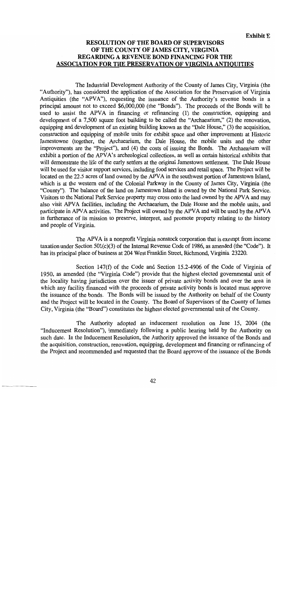**Exhibit E** 

## **RESOLUTION OF THE BOARD OF SUPERVISORS** OF THE COUNTY OF JAMES CITY, VIRGINIA REGARDING A REVENUE BOND FINANCING FOR THE **ASSOCIATION FOR THE PRESERVATION OF VIRGINIA ANTIOUITIES**

The Industrial Development Authority of the County of James City, Virginia (the "Authority"), has considered the application of the Association for the Preservation of Virginia Antiquities (the "APVA"), requesting the issuance of the Authority's revenue bonds in a principal amount not to exceed \$6,000,000 (the "Bonds"). The proceeds of the Bonds will be used to assist the APVA in financing or refinancing (1) the construction, equipping and development of a 7,500 square foot building to be called the "Archaearium," (2) the renovation, equipping and development of an existing building known as the "Dale House," (3) the acquisition. construction and equipping of mobile units for exhibit space and other improvements at Historic Jamestowne (together, the Archaearium, the Dale House, the mobile units and the other improvements are the "Project"), and (4) the costs of issuing the Bonds. The Archaearium will exhibit a portion of the APVA's archeological collections, as well as certain historical exhibits that will demonstrate the life of the early settlers at the original Jamestown settlement. The Dale House will be used for visitor support services, including food services and retail space. The Project will be located on the 22.5 acres of land owned by the APVA in the southwest portion of Jamestown Island, which is at the western end of the Colonial Parkway in the County of James City, Virginia (the "County"). The balance of the land on Jamestown Island is owned by the National Park Service. Visitors to the National Park Service property may cross onto the land owned by the APVA and may also visit APVA facilities, including the Archaearium, the Dale House and the mobile units, and participate in APVA activities. The Project will owned by the APVA and will be used by the APVA in furtherance of its mission to preserve, interpret, and promote property relating to the history and people of Virginia.

The APVA is a nonprofit Virginia nonstock corporation that is exempt from income taxation under Section 501(c)(3) of the Internal Revenue Code of 1986, as amended (the "Code"). It has its principal place of business at 204 West Franklin Street, Richmond, Virginia 23220.

Section 147(f) of the Code and Section 15.2-4906 of the Code of Virginia of 1950, as amended (the "Virginia Code") provide that the highest elected governmental unit of the locality having jurisdiction over the issuer of private activity bonds and over the area in which any facility financed with the proceeds of private activity bonds is located must approve the issuance of the bonds. The Bonds will be issued by the Authority on behalf of the County and the Project will be located in the County. The Board of Supervisors of the County of James City, Virginia (the "Board") constitutes the highest elected governmental unit of the County.

The Authority adopted an inducement resolution on June 15, 2004 (the "Inducement Resolution"), immediately following a public hearing held by the Authority on such date. In the Inducement Resolution, the Authority approved the issuance of the Bonds and the acquisition, construction, renovation, equipping, development and financing or refinancing of the Project and recommended and requested that the Board approve of the issuance of the Bonds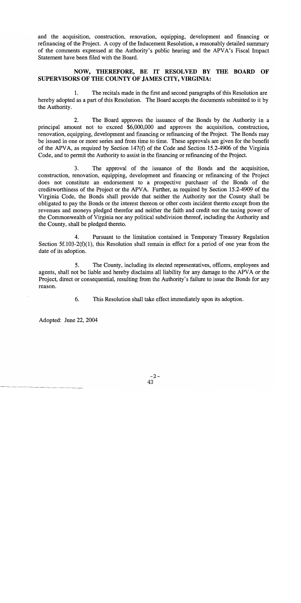and the acquisition, construction, renovation, equipping, development and financing or refinancing of the Project. A copy of the Inducement Resolution, a reasonably detailed summary of the comments expressed at the Authority's public hearing and the APVA's Fiscal Impact Statement have been filed with the Board.

## NOW, THEREFORE, BE IT RESOLVED BY THE BOARD OF SUPERVISORS OF THE COUNTY OF JAMES CITY, VIRGINIA:

The recitals made in the first and second paragraphs of this Resolution are 1. hereby adopted as a part of this Resolution. The Board accepts the documents submitted to it by the Authority.

 $2.$ The Board approves the issuance of the Bonds by the Authority in a principal amount not to exceed \$6,000,000 and approves the acquisition, construction, renovation, equipping, development and financing or refinancing of the Project. The Bonds may be issued in one or more series and from time to time. These approvals are given for the benefit of the APVA, as required by Section 147(f) of the Code and Section 15.2-4906 of the Virginia Code, and to permit the Authority to assist in the financing or refinancing of the Project.

 $3<sub>1</sub>$ The approval of the issuance of the Bonds and the acquisition, construction, renovation, equipping, development and financing or refinancing of the Project does not constitute an endorsement to a prospective purchaser of the Bonds of the creditworthiness of the Project or the APVA. Further, as required by Section 15.2-4909 of the Virginia Code, the Bonds shall provide that neither the Authority nor the County shall be obligated to pay the Bonds or the interest thereon or other costs incident thereto except from the revenues and moneys pledged therefor and neither the faith and credit nor the taxing power of the Commonwealth of Virginia nor any political subdivision thereof, including the Authority and the County, shall be pledged thereto.

4. Pursuant to the limitation contained in Temporary Treasury Regulation Section 5f.103-2(f)(1), this Resolution shall remain in effect for a period of one year from the date of its adoption.

5. The County, including its elected representatives, officers, employees and agents, shall not be liable and hereby disclaims all liability for any damage to the APVA or the Project, direct or consequential, resulting from the Authority's failure to issue the Bonds for any reason.

> 6. This Resolution shall take effect immediately upon its adoption.

Adopted: June 22, 2004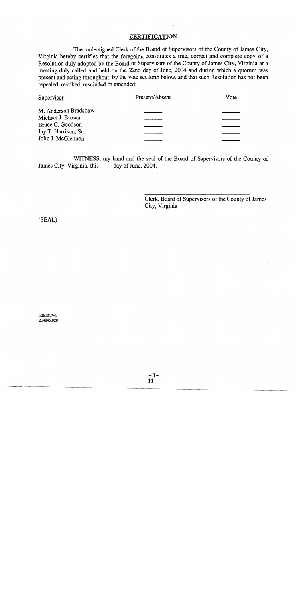## **CERTIFICATION**

The undersigned Clerk of the Board of Supervisors of the County of James City, Virginia hereby certifies that the foregoing constitutes a true, correct and complete copy of a Resolution duly adopted by the Board of Supervisors of the County of James City, Virginia at a meeting duly called and held on the 22nd day of June, 2004 and during which a quorum was present and acting throughout, by the vote set forth below, and that such Resolution has not been repealed, revoked, rescinded or amended:

| Supervisor           | Present/Absent | Vote |
|----------------------|----------------|------|
| M. Anderson Bradshaw |                |      |
| Michael J. Brown     |                |      |
| Bruce C. Goodson     |                |      |
| Jay T. Harrison, Sr. |                |      |
| John J. McGlennon    |                |      |

WITNESS, my hand and the seal of the Board of Supervisors of the County of James City, Virginia, this \_\_\_\_\_ day of June, 2004.

> Clerk, Board of Supervisors of the County of James City, Virginia

(SEAL)

1261017v1 214845.020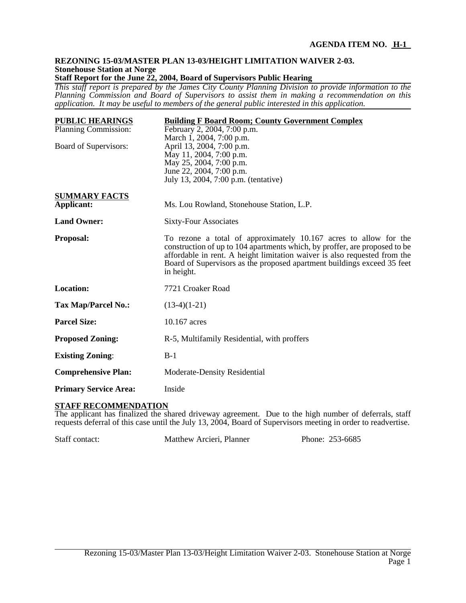#### **REZONING 15-03/MASTER PLAN 13-03/HEIGHT LIMITATION WAIVER 2-03. Stonehouse Station at Norge Staff Report for the June 22, 2004, Board of Supervisors Public Hearing**

*This staff report is prepared by the James City County Planning Division to provide information to the Planning Commission and Board of Supervisors to assist them in making a recommendation on this application. It may be useful to members of the general public interested in this application.*

| <b>PUBLIC HEARINGS</b>       | <b>Building F Board Room; County Government Complex</b>                                                                                                                                                                                                                                                              |  |
|------------------------------|----------------------------------------------------------------------------------------------------------------------------------------------------------------------------------------------------------------------------------------------------------------------------------------------------------------------|--|
| Planning Commission:         | February 2, 2004, 7:00 p.m.                                                                                                                                                                                                                                                                                          |  |
|                              | March 1, 2004, 7:00 p.m.                                                                                                                                                                                                                                                                                             |  |
| Board of Supervisors:        | April 13, 2004, 7:00 p.m.                                                                                                                                                                                                                                                                                            |  |
|                              | May 11, 2004, 7:00 p.m.                                                                                                                                                                                                                                                                                              |  |
|                              | May 25, 2004, 7:00 p.m.<br>June 22, 2004, 7:00 p.m.                                                                                                                                                                                                                                                                  |  |
|                              | July 13, 2004, 7:00 p.m. (tentative)                                                                                                                                                                                                                                                                                 |  |
|                              |                                                                                                                                                                                                                                                                                                                      |  |
| <b>SUMMARY FACTS</b>         |                                                                                                                                                                                                                                                                                                                      |  |
| Applicant:                   | Ms. Lou Rowland, Stonehouse Station, L.P.                                                                                                                                                                                                                                                                            |  |
| <b>Land Owner:</b>           | <b>Sixty-Four Associates</b>                                                                                                                                                                                                                                                                                         |  |
| Proposal:                    | To rezone a total of approximately 10.167 acres to allow for the<br>construction of up to 104 apartments which, by proffer, are proposed to be<br>affordable in rent. A height limitation waiver is also requested from the<br>Board of Supervisors as the proposed apartment buildings exceed 35 feet<br>in height. |  |
| <b>Location:</b>             | 7721 Croaker Road                                                                                                                                                                                                                                                                                                    |  |
| <b>Tax Map/Parcel No.:</b>   | $(13-4)(1-21)$                                                                                                                                                                                                                                                                                                       |  |
| <b>Parcel Size:</b>          | 10.167 acres                                                                                                                                                                                                                                                                                                         |  |
| <b>Proposed Zoning:</b>      | R-5, Multifamily Residential, with proffers                                                                                                                                                                                                                                                                          |  |
| <b>Existing Zoning:</b>      | $B-1$                                                                                                                                                                                                                                                                                                                |  |
| <b>Comprehensive Plan:</b>   | Moderate-Density Residential                                                                                                                                                                                                                                                                                         |  |
| <b>Primary Service Area:</b> | Inside                                                                                                                                                                                                                                                                                                               |  |

## **STAFF RECOMMENDATION**

The applicant has finalized the shared driveway agreement. Due to the high number of deferrals, staff requests deferral of this case until the July 13, 2004, Board of Supervisors meeting in order to readvertise.

Staff contact: Matthew Arcieri, Planner Phone: 253-6685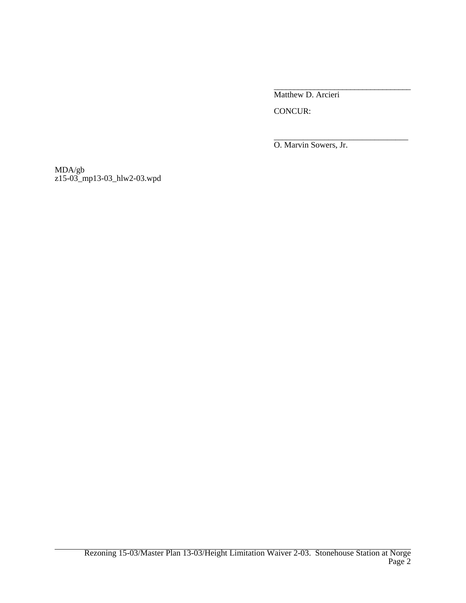\_\_\_\_\_\_\_\_\_\_\_\_\_\_\_\_\_\_\_\_\_\_\_\_\_\_\_\_\_\_\_\_\_\_ Matthew D. Arcieri

CONCUR:

\_\_\_\_\_\_\_\_\_\_\_\_\_\_\_\_\_\_\_\_\_\_\_\_\_\_\_\_\_\_\_\_ O. Marvin Sowers, Jr.

MDA/gb z15-03\_mp13-03\_hlw2-03.wpd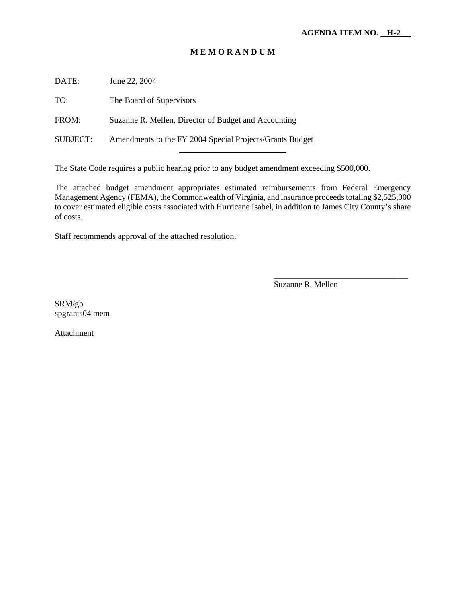## **M E M O R A N D U M**

DATE: June 22, 2004

TO: The Board of Supervisors

FROM: Suzanne R. Mellen, Director of Budget and Accounting

SUBJECT: Amendments to the FY 2004 Special Projects/Grants Budget l

The State Code requires a public hearing prior to any budget amendment exceeding \$500,000.

The attached budget amendment appropriates estimated reimbursements from Federal Emergency Management Agency (FEMA), the Commonwealth of Virginia, and insurance proceeds totaling \$2,525,000 to cover estimated eligible costs associated with Hurricane Isabel, in addition to James City County's share of costs.

Staff recommends approval of the attached resolution.

Suzanne R. Mellen

\_\_\_\_\_\_\_\_\_\_\_\_\_\_\_\_\_\_\_\_\_\_\_\_\_\_\_\_\_\_\_\_

SRM/gb spgrants04.mem

Attachment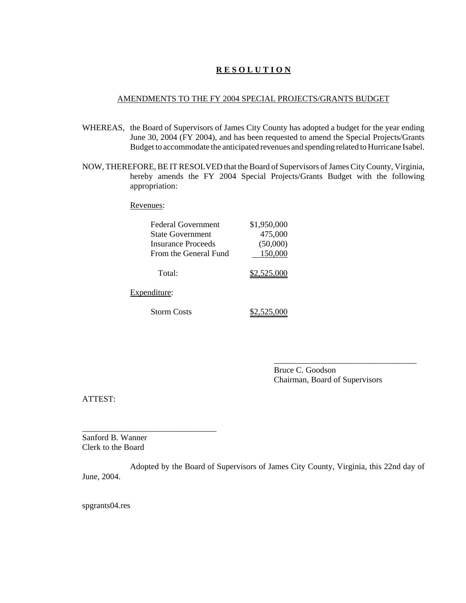## **R E S O L U T I O N**

#### AMENDMENTS TO THE FY 2004 SPECIAL PROJECTS/GRANTS BUDGET

- WHEREAS, the Board of Supervisors of James City County has adopted a budget for the year ending June 30, 2004 (FY 2004), and has been requested to amend the Special Projects/Grants Budget to accommodate the anticipated revenues and spending related to Hurricane Isabel.
- NOW, THEREFORE, BE IT RESOLVED that the Board of Supervisors of James City County, Virginia, hereby amends the FY 2004 Special Projects/Grants Budget with the following appropriation:

Revenues:

| <b>Federal Government</b> | \$1,950,000 |
|---------------------------|-------------|
| <b>State Government</b>   | 475,000     |
| Insurance Proceeds        | (50,000)    |
| From the General Fund     | 150,000     |
| Total:                    | \$2,525,000 |
| Expenditure:              |             |
| Storm Costs               |             |

Bruce C. Goodson Chairman, Board of Supervisors

\_\_\_\_\_\_\_\_\_\_\_\_\_\_\_\_\_\_\_\_\_\_\_\_\_\_\_\_\_\_\_\_\_\_

ATTEST:

Sanford B. Wanner Clerk to the Board

\_\_\_\_\_\_\_\_\_\_\_\_\_\_\_\_\_\_\_\_\_\_\_\_\_\_\_\_\_\_\_\_

Adopted by the Board of Supervisors of James City County, Virginia, this 22nd day of June, 2004.

spgrants04.res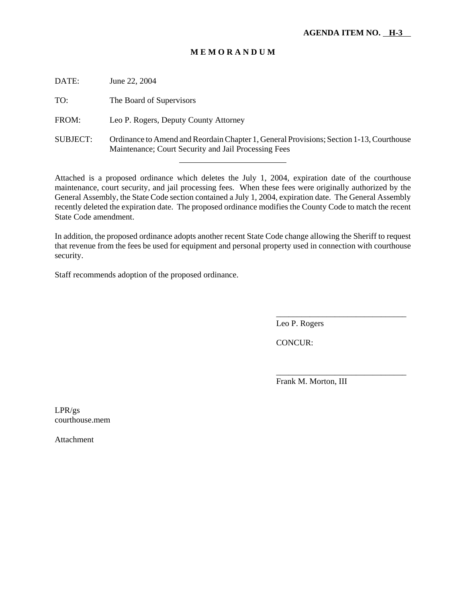## **M E M O R A N D U M**

| DATE:           | June 22, 2004                                                                                                                                   |
|-----------------|-------------------------------------------------------------------------------------------------------------------------------------------------|
| TO:             | The Board of Supervisors                                                                                                                        |
| FROM:           | Leo P. Rogers, Deputy County Attorney                                                                                                           |
| <b>SUBJECT:</b> | Ordinance to Amend and Reordain Chapter 1, General Provisions; Section 1-13, Courthouse<br>Maintenance; Court Security and Jail Processing Fees |

Attached is a proposed ordinance which deletes the July 1, 2004, expiration date of the courthouse maintenance, court security, and jail processing fees. When these fees were originally authorized by the General Assembly, the State Code section contained a July 1, 2004, expiration date. The General Assembly recently deleted the expiration date. The proposed ordinance modifies the County Code to match the recent State Code amendment.

In addition, the proposed ordinance adopts another recent State Code change allowing the Sheriff to request that revenue from the fees be used for equipment and personal property used in connection with courthouse security.

Staff recommends adoption of the proposed ordinance.

l

Leo P. Rogers

CONCUR:

Frank M. Morton, III

\_\_\_\_\_\_\_\_\_\_\_\_\_\_\_\_\_\_\_\_\_\_\_\_\_\_\_\_\_\_\_

\_\_\_\_\_\_\_\_\_\_\_\_\_\_\_\_\_\_\_\_\_\_\_\_\_\_\_\_\_\_\_

LPR/gs courthouse.mem

Attachment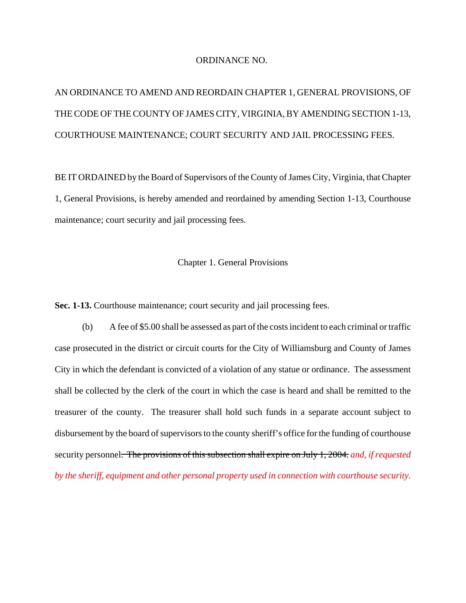#### ORDINANCE NO.

# AN ORDINANCE TO AMEND AND REORDAIN CHAPTER 1, GENERAL PROVISIONS, OF THE CODE OF THE COUNTY OF JAMES CITY, VIRGINIA, BY AMENDING SECTION 1-13, COURTHOUSE MAINTENANCE; COURT SECURITY AND JAIL PROCESSING FEES.

BE IT ORDAINED by the Board of Supervisors of the County of James City, Virginia, that Chapter 1, General Provisions, is hereby amended and reordained by amending Section 1-13, Courthouse maintenance; court security and jail processing fees.

Chapter 1. General Provisions

**Sec. 1-13.** Courthouse maintenance; court security and jail processing fees.

(b) A fee of \$5.00 shall be assessed as part of the costs incident to each criminal or traffic case prosecuted in the district or circuit courts for the City of Williamsburg and County of James City in which the defendant is convicted of a violation of any statue or ordinance. The assessment shall be collected by the clerk of the court in which the case is heard and shall be remitted to the treasurer of the county. The treasurer shall hold such funds in a separate account subject to disbursement by the board of supervisors to the county sheriff's office for the funding of courthouse security personnel. The provisions of this subsection shall expire on July 1, 2004. *and, if requested by the sheriff, equipment and other personal property used in connection with courthouse security.*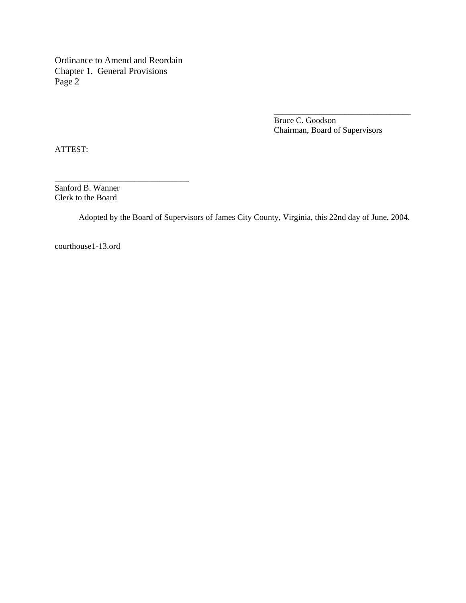Ordinance to Amend and Reordain Chapter 1. General Provisions Page 2

\_\_\_\_\_\_\_\_\_\_\_\_\_\_\_\_\_\_\_\_\_\_\_\_\_\_\_\_\_\_\_\_

Bruce C. Goodson Chairman, Board of Supervisors

\_\_\_\_\_\_\_\_\_\_\_\_\_\_\_\_\_\_\_\_\_\_\_\_\_\_\_\_\_\_\_\_\_

ATTEST:

Sanford B. Wanner Clerk to the Board

Adopted by the Board of Supervisors of James City County, Virginia, this 22nd day of June, 2004.

courthouse1-13.ord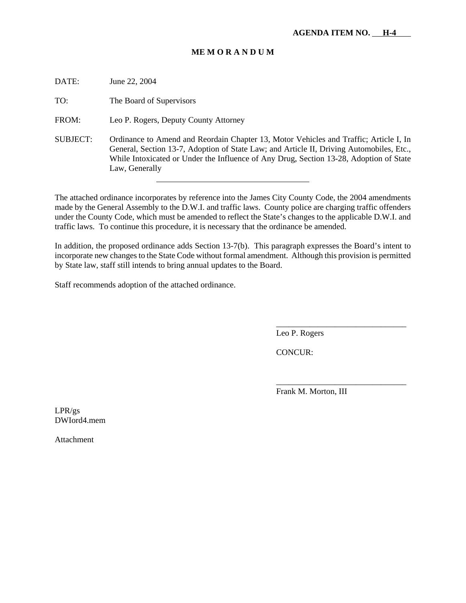## **ME M O R A N D U M**

DATE: June 22, 2004

TO: The Board of Supervisors

FROM: Leo P. Rogers, Deputy County Attorney

SUBJECT: Ordinance to Amend and Reordain Chapter 13, Motor Vehicles and Traffic; Article I, In General, Section 13-7, Adoption of State Law; and Article II, Driving Automobiles, Etc., While Intoxicated or Under the Influence of Any Drug, Section 13-28, Adoption of State Law, Generally

The attached ordinance incorporates by reference into the James City County Code, the 2004 amendments made by the General Assembly to the D.W.I. and traffic laws. County police are charging traffic offenders under the County Code, which must be amended to reflect the State's changes to the applicable D.W.I. and traffic laws. To continue this procedure, it is necessary that the ordinance be amended.

In addition, the proposed ordinance adds Section 13-7(b). This paragraph expresses the Board's intent to incorporate new changes to the State Code without formal amendment. Although this provision is permitted by State law, staff still intends to bring annual updates to the Board.

Staff recommends adoption of the attached ordinance.

Leo P. Rogers

CONCUR:

Frank M. Morton, III

\_\_\_\_\_\_\_\_\_\_\_\_\_\_\_\_\_\_\_\_\_\_\_\_\_\_\_\_\_\_\_

\_\_\_\_\_\_\_\_\_\_\_\_\_\_\_\_\_\_\_\_\_\_\_\_\_\_\_\_\_\_\_

LPR/gs DWIord4.mem

Attachment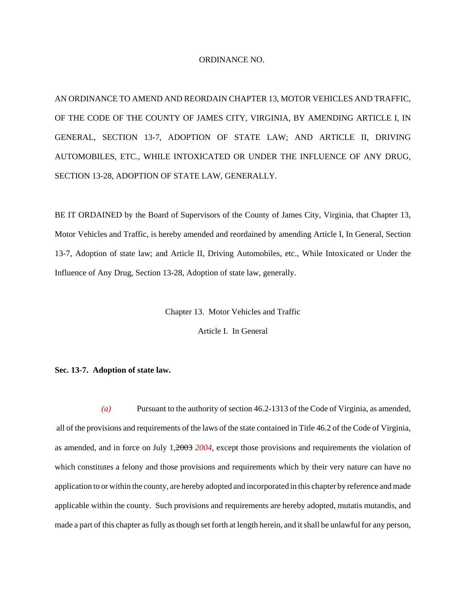#### ORDINANCE NO.

AN ORDINANCE TO AMEND AND REORDAIN CHAPTER 13, MOTOR VEHICLES AND TRAFFIC, OF THE CODE OF THE COUNTY OF JAMES CITY, VIRGINIA, BY AMENDING ARTICLE I, IN GENERAL, SECTION 13-7, ADOPTION OF STATE LAW; AND ARTICLE II, DRIVING AUTOMOBILES, ETC., WHILE INTOXICATED OR UNDER THE INFLUENCE OF ANY DRUG, SECTION 13-28, ADOPTION OF STATE LAW, GENERALLY.

BE IT ORDAINED by the Board of Supervisors of the County of James City, Virginia, that Chapter 13, Motor Vehicles and Traffic, is hereby amended and reordained by amending Article I, In General, Section 13-7, Adoption of state law; and Article II, Driving Automobiles, etc., While Intoxicated or Under the Influence of Any Drug, Section 13-28, Adoption of state law, generally.

Chapter 13. Motor Vehicles and Traffic

Article I. In General

#### **Sec. 13-7. Adoption of state law.**

*(a)* Pursuant to the authority of section 46.2-1313 of the Code of Virginia, as amended, all of the provisions and requirements of the laws of the state contained in Title 46.2 of the Code of Virginia, as amended, and in force on July 1,2003 *2004*, except those provisions and requirements the violation of which constitutes a felony and those provisions and requirements which by their very nature can have no application to or within the county, are hereby adopted and incorporated in this chapter by reference and made applicable within the county. Such provisions and requirements are hereby adopted, mutatis mutandis, and made a part of this chapter as fully as though set forth at length herein, and it shall be unlawful for any person,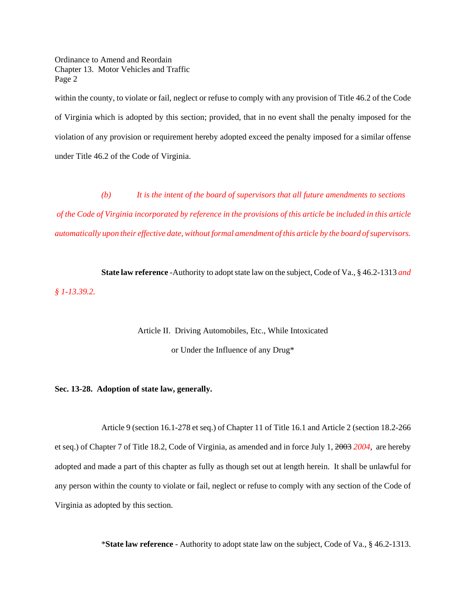Ordinance to Amend and Reordain Chapter 13. Motor Vehicles and Traffic Page 2

within the county, to violate or fail, neglect or refuse to comply with any provision of Title 46.2 of the Code of Virginia which is adopted by this section; provided, that in no event shall the penalty imposed for the violation of any provision or requirement hereby adopted exceed the penalty imposed for a similar offense under Title 46.2 of the Code of Virginia.

*(b) It is the intent of the board of supervisors that all future amendments to sections of the Code of Virginia incorporated by reference in the provisions of this article be included in this article automatically upon their effective date, without formal amendment of this article by the board of supervisors.*

**State law reference** -Authority to adopt state law on the subject, Code of Va., § 46.2-1313 *and § 1-13.39.2.*

Article II. Driving Automobiles, Etc., While Intoxicated

or Under the Influence of any Drug\*

#### **Sec. 13-28. Adoption of state law, generally.**

Article 9 (section 16.1-278 et seq.) of Chapter 11 of Title 16.1 and Article 2 (section 18.2-266 et seq.) of Chapter 7 of Title 18.2, Code of Virginia, as amended and in force July 1, 2003 *2004*, are hereby adopted and made a part of this chapter as fully as though set out at length herein. It shall be unlawful for any person within the county to violate or fail, neglect or refuse to comply with any section of the Code of Virginia as adopted by this section.

\***State law reference** - Authority to adopt state law on the subject, Code of Va., § 46.2-1313.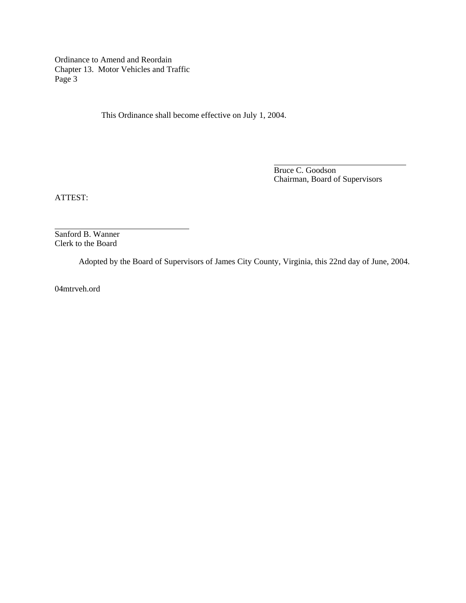Ordinance to Amend and Reordain Chapter 13. Motor Vehicles and Traffic Page 3

This Ordinance shall become effective on July 1, 2004.

Bruce C. Goodson Chairman, Board of Supervisors

ATTEST:

l

Sanford B. Wanner Clerk to the Board

Adopted by the Board of Supervisors of James City County, Virginia, this 22nd day of June, 2004.

 $\overline{a}$ 

04mtrveh.ord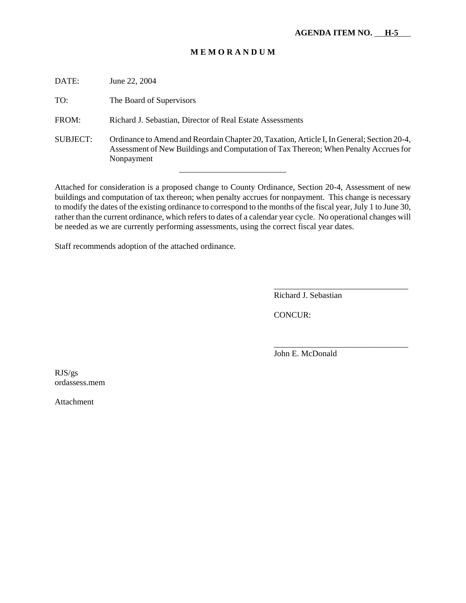## **M E M O R A N D U M**

| DATE:           | June 22, 2004                                                                                                                                                                                    |
|-----------------|--------------------------------------------------------------------------------------------------------------------------------------------------------------------------------------------------|
| TO:             | The Board of Supervisors                                                                                                                                                                         |
| FROM:           | Richard J. Sebastian, Director of Real Estate Assessments                                                                                                                                        |
| <b>SUBJECT:</b> | Ordinance to Amend and Reordain Chapter 20, Taxation, Article I, In General; Section 20-4,<br>Assessment of New Buildings and Computation of Tax Thereon; When Penalty Accrues for<br>Nonpayment |

Attached for consideration is a proposed change to County Ordinance, Section 20-4, Assessment of new buildings and computation of tax thereon; when penalty accrues for nonpayment. This change is necessary to modify the dates of the existing ordinance to correspond to the months of the fiscal year, July 1 to June 30, rather than the current ordinance, which refers to dates of a calendar year cycle. No operational changes will be needed as we are currently performing assessments, using the correct fiscal year dates.

Staff recommends adoption of the attached ordinance.

Richard J. Sebastian

\_\_\_\_\_\_\_\_\_\_\_\_\_\_\_\_\_\_\_\_\_\_\_\_\_\_\_\_\_\_\_\_

\_\_\_\_\_\_\_\_\_\_\_\_\_\_\_\_\_\_\_\_\_\_\_\_\_\_\_\_\_\_\_\_

CONCUR:

John E. McDonald

RJS/gs ordassess.mem

Attachment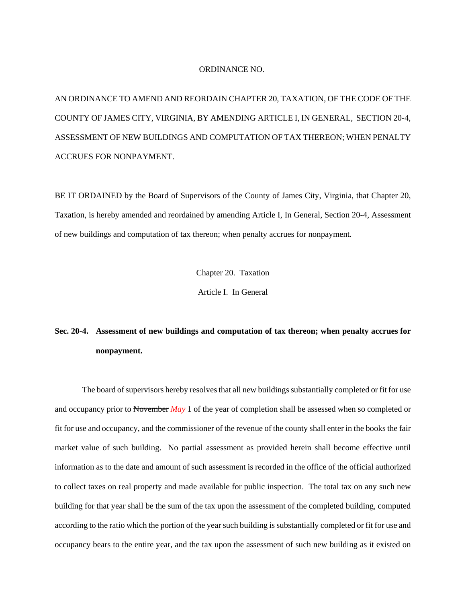#### ORDINANCE NO.

AN ORDINANCE TO AMEND AND REORDAIN CHAPTER 20, TAXATION, OF THE CODE OF THE COUNTY OF JAMES CITY, VIRGINIA, BY AMENDING ARTICLE I, IN GENERAL, SECTION 20-4, ASSESSMENT OF NEW BUILDINGS AND COMPUTATION OF TAX THEREON; WHEN PENALTY ACCRUES FOR NONPAYMENT.

BE IT ORDAINED by the Board of Supervisors of the County of James City, Virginia, that Chapter 20, Taxation, is hereby amended and reordained by amending Article I, In General, Section 20-4, Assessment of new buildings and computation of tax thereon; when penalty accrues for nonpayment.

Chapter 20. Taxation

Article I. In General

## **Sec. 20-4. Assessment of new buildings and computation of tax thereon; when penalty accrues for nonpayment.**

The board of supervisors hereby resolves that all new buildings substantially completed or fit for use and occupancy prior to November *May* 1 of the year of completion shall be assessed when so completed or fit for use and occupancy, and the commissioner of the revenue of the county shall enter in the books the fair market value of such building. No partial assessment as provided herein shall become effective until information as to the date and amount of such assessment is recorded in the office of the official authorized to collect taxes on real property and made available for public inspection. The total tax on any such new building for that year shall be the sum of the tax upon the assessment of the completed building, computed according to the ratio which the portion of the year such building is substantially completed or fit for use and occupancy bears to the entire year, and the tax upon the assessment of such new building as it existed on